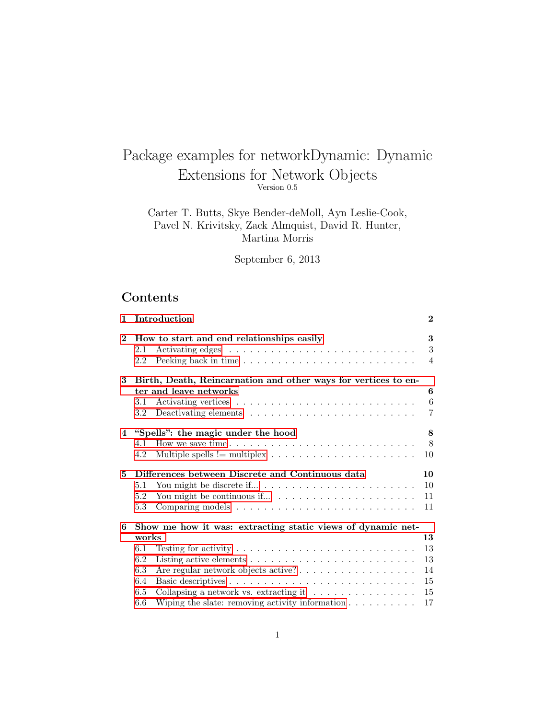# Package examples for networkDynamic: Dynamic Extensions for Network Objects Version 0.5

## Carter T. Butts, Skye Bender-deMoll, Ayn Leslie-Cook, Pavel N. Krivitsky, Zack Almquist, David R. Hunter, Martina Morris

September 6, 2013

## Contents

| $\mathbf{1}$ | Introduction                                                                                                                                                                                                                                                                                                                                                                                      | $\bf{2}$                         |
|--------------|---------------------------------------------------------------------------------------------------------------------------------------------------------------------------------------------------------------------------------------------------------------------------------------------------------------------------------------------------------------------------------------------------|----------------------------------|
| $\bf{2}$     | How to start and end relationships easily<br>2.1<br>2.2                                                                                                                                                                                                                                                                                                                                           | 3<br>3<br>$\overline{4}$         |
| 3            | Birth, Death, Reincarnation and other ways for vertices to en-<br>ter and leave networks<br>$3.1\,$<br>$3.2\,$                                                                                                                                                                                                                                                                                    | 6<br>6<br>$\overline{7}$         |
|              | 4 "Spells": the magic under the hood<br>4.1<br>Multiple spells $!=$ multiplex $\dots \dots \dots \dots \dots \dots \dots$<br>4.2                                                                                                                                                                                                                                                                  | 8<br>8<br>10                     |
| 5            | Differences between Discrete and Continuous data<br>5.1<br>5.2<br>5.3                                                                                                                                                                                                                                                                                                                             | 10<br>10<br>11<br>11             |
| 6            | Show me how it was: extracting static views of dynamic net-<br>works<br>Testing for activity $\dots \dots \dots \dots \dots \dots \dots \dots \dots \dots$<br>6.1<br>6.2<br>Listing active elements $\ldots \ldots \ldots \ldots \ldots \ldots \ldots \ldots$<br>6.3<br>Are regular network objects active?<br>6.4<br>6.5<br>Collapsing a network vs. extracting it $\ldots \ldots \ldots \ldots$ | 13<br>13<br>13<br>14<br>15<br>15 |
|              | Wiping the slate: removing activity information $\ldots \ldots \ldots$<br>6.6                                                                                                                                                                                                                                                                                                                     | 17                               |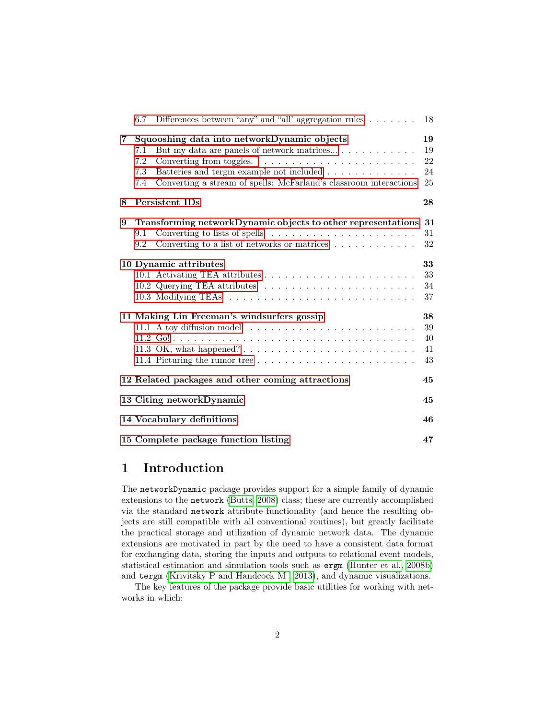|             | 6.7 | Differences between "any" and "all' aggregation rules $\dots \dots$       | 18 |
|-------------|-----|---------------------------------------------------------------------------|----|
| $7^{\circ}$ |     | Squooshing data into networkDynamic objects                               | 19 |
|             | 7.1 | But my data are panels of network matrices                                | 19 |
|             | 7.2 |                                                                           | 22 |
|             | 7.3 | Batteries and tergm example not included                                  | 24 |
|             | 7.4 | Converting a stream of spells: McFarland's classroom interactions         | 25 |
| 8           |     | Persistent IDs                                                            | 28 |
| 9           |     | Transforming networkDynamic objects to other representations              | 31 |
|             | 9.1 | Converting to lists of spells $\dots \dots \dots \dots \dots \dots \dots$ | 31 |
|             | 9.2 | Converting to a list of networks or matrices $\dots \dots \dots \dots$    | 32 |
|             |     | 10 Dynamic attributes                                                     | 33 |
|             |     |                                                                           | 33 |
|             |     |                                                                           | 34 |
|             |     |                                                                           | 37 |
|             |     | 11 Making Lin Freeman's windsurfers gossip                                | 38 |
|             |     |                                                                           | 39 |
|             |     |                                                                           | 40 |
|             |     |                                                                           | 41 |
|             |     | 11.4 Picturing the rumor tree                                             | 43 |
|             |     | 12 Related packages and other coming attractions                          | 45 |
|             |     | 13 Citing networkDynamic                                                  | 45 |
|             |     | 14 Vocabulary definitions                                                 | 46 |
|             |     | 15 Complete package function listing                                      | 47 |

## <span id="page-1-0"></span>1 Introduction

The networkDynamic package provides support for a simple family of dynamic extensions to the network [\(Butts, 2008\)](#page-47-0) class; these are currently accomplished via the standard network attribute functionality (and hence the resulting objects are still compatible with all conventional routines), but greatly facilitate the practical storage and utilization of dynamic network data. The dynamic extensions are motivated in part by the need to have a consistent data format for exchanging data, storing the inputs and outputs to relational event models, statistical estimation and simulation tools such as ergm [\(Hunter et al., 2008b\)](#page-48-0) and tergm [\(Krivitsky P and Handcock M , 2013\)](#page-47-1), and dynamic visualizations.

The key features of the package provide basic utilities for working with networks in which: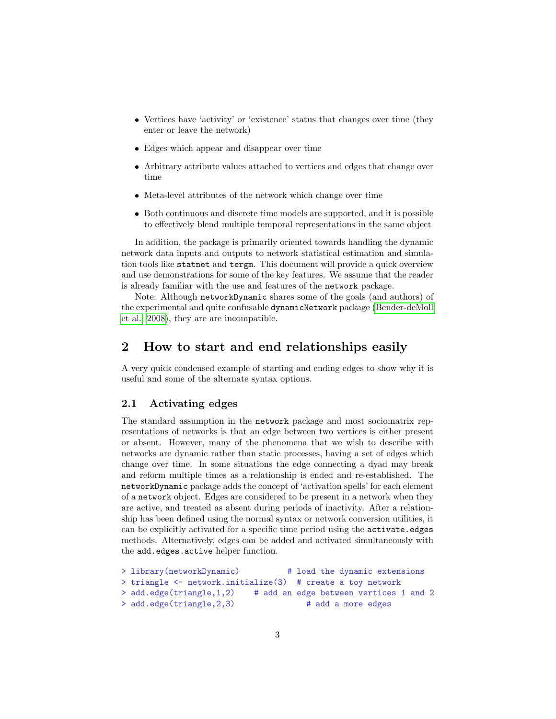- ❼ Vertices have 'activity' or 'existence' status that changes over time (they enter or leave the network)
- ❼ Edges which appear and disappear over time
- ❼ Arbitrary attribute values attached to vertices and edges that change over time
- ❼ Meta-level attributes of the network which change over time
- Both continuous and discrete time models are supported, and it is possible to effectively blend multiple temporal representations in the same object

In addition, the package is primarily oriented towards handling the dynamic network data inputs and outputs to network statistical estimation and simulation tools like statnet and tergm. This document will provide a quick overview and use demonstrations for some of the key features. We assume that the reader is already familiar with the use and features of the network package.

Note: Although networkDynamic shares some of the goals (and authors) of the experimental and quite confusable dynamicNetwork package [\(Bender-deMoll](#page-47-2) [et al., 2008\)](#page-47-2), they are are incompatible.

## <span id="page-2-0"></span>2 How to start and end relationships easily

A very quick condensed example of starting and ending edges to show why it is useful and some of the alternate syntax options.

### <span id="page-2-1"></span>2.1 Activating edges

The standard assumption in the network package and most sociomatrix representations of networks is that an edge between two vertices is either present or absent. However, many of the phenomena that we wish to describe with networks are dynamic rather than static processes, having a set of edges which change over time. In some situations the edge connecting a dyad may break and reform multiple times as a relationship is ended and re-established. The networkDynamic package adds the concept of 'activation spells' for each element of a network object. Edges are considered to be present in a network when they are active, and treated as absent during periods of inactivity. After a relationship has been defined using the normal syntax or network conversion utilities, it can be explicitly activated for a specific time period using the activate.edges methods. Alternatively, edges can be added and activated simultaneously with the add.edges.active helper function.

```
> library(networkDynamic) # load the dynamic extensions
> triangle <- network.initialize(3) # create a toy network
> add.edge(triangle,1,2) # add an edge between vertices 1 and 2
> add.edge(triangle, 2,3) # add a more edges
```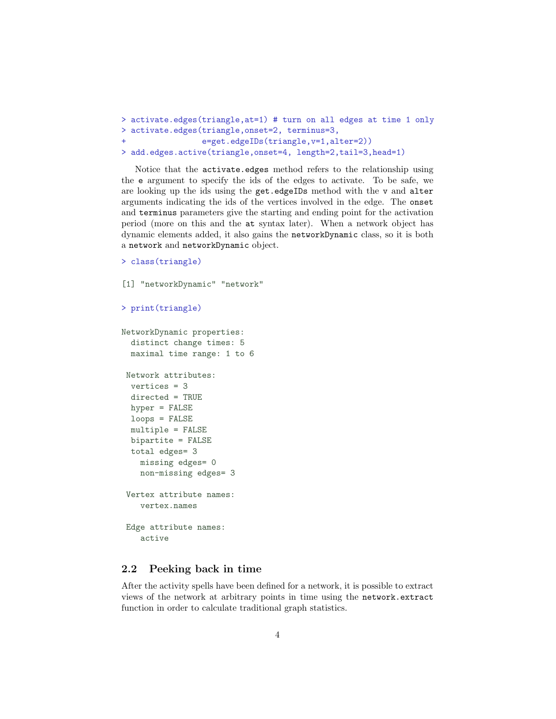```
> activate.edges(triangle,at=1) # turn on all edges at time 1 only
> activate.edges(triangle,onset=2, terminus=3,
+ e=get.edgeIDs(triangle,v=1,alter=2))
> add.edges.active(triangle,onset=4, length=2,tail=3,head=1)
```
Notice that the activate.edges method refers to the relationship using the e argument to specify the ids of the edges to activate. To be safe, we are looking up the ids using the get.edgeIDs method with the v and alter arguments indicating the ids of the vertices involved in the edge. The onset and terminus parameters give the starting and ending point for the activation period (more on this and the at syntax later). When a network object has dynamic elements added, it also gains the networkDynamic class, so it is both a network and networkDynamic object.

```
> class(triangle)
```

```
[1] "networkDynamic" "network"
> print(triangle)
NetworkDynamic properties:
 distinct change times: 5
 maximal time range: 1 to 6
 Network attributes:
 vertices = 3
 directed = TRUE
 hyper = FALSE
 loops = FALSE
 multiple = FALSE
 bipartite = FALSE
 total edges= 3
   missing edges= 0
   non-missing edges= 3
 Vertex attribute names:
   vertex.names
 Edge attribute names:
    active
```
## <span id="page-3-0"></span>2.2 Peeking back in time

After the activity spells have been defined for a network, it is possible to extract views of the network at arbitrary points in time using the network.extract function in order to calculate traditional graph statistics.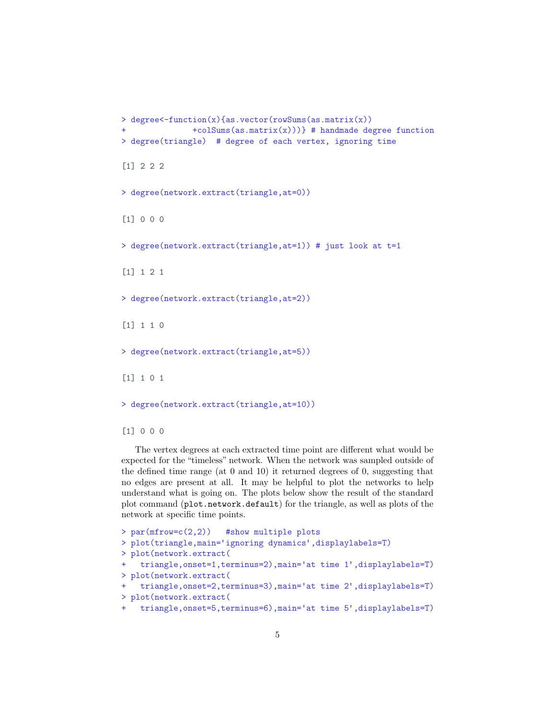```
> degree<-function(x){as.vector(rowSums(as.matrix(x))
               + \text{colSums}(as.\text{matrix}(x))) # handmade degree function
> degree(triangle) # degree of each vertex, ignoring time
[1] 2 2 2
> degree(network.extract(triangle,at=0))
[1] 0 0 0
> degree(network.extract(triangle,at=1)) # just look at t=1
[1] 1 2 1
> degree(network.extract(triangle,at=2))
[1] 1 1 0
> degree(network.extract(triangle,at=5))
[1] 1 0 1
> degree(network.extract(triangle,at=10))
```
[1] 0 0 0

The vertex degrees at each extracted time point are different what would be expected for the "timeless" network. When the network was sampled outside of the defined time range (at 0 and 10) it returned degrees of 0, suggesting that no edges are present at all. It may be helpful to plot the networks to help understand what is going on. The plots below show the result of the standard plot command (plot.network.default) for the triangle, as well as plots of the network at specific time points.

```
> par(mfrow=c(2,2)) #show multiple plots
> plot(triangle,main='ignoring dynamics',displaylabels=T)
> plot(network.extract(
   triangle, onset=1, terminus=2), main='at time 1', displaylabels=T)
> plot(network.extract(
    triangle, onset=2, terminus=3), main='at time 2', displaylabels=T)
> plot(network.extract(
    triangle, onset=5, terminus=6), main='at time 5', displaylabels=T)
```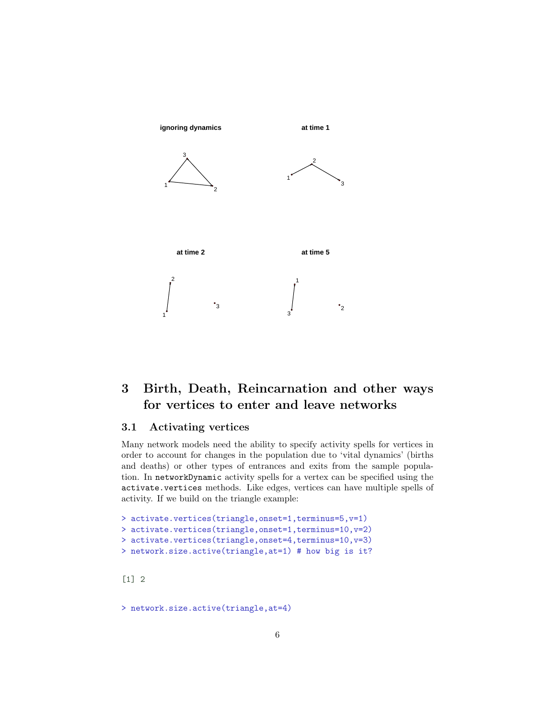

## <span id="page-5-0"></span>3 Birth, Death, Reincarnation and other ways for vertices to enter and leave networks

## <span id="page-5-1"></span>3.1 Activating vertices

Many network models need the ability to specify activity spells for vertices in order to account for changes in the population due to 'vital dynamics' (births and deaths) or other types of entrances and exits from the sample population. In networkDynamic activity spells for a vertex can be specified using the activate.vertices methods. Like edges, vertices can have multiple spells of activity. If we build on the triangle example:

```
> activate.vertices(triangle,onset=1,terminus=5,v=1)
> activate.vertices(triangle,onset=1,terminus=10,v=2)
> activate.vertices(triangle,onset=4,terminus=10,v=3)
> network.size.active(triangle,at=1) # how big is it?
```
[1] 2

> network.size.active(triangle,at=4)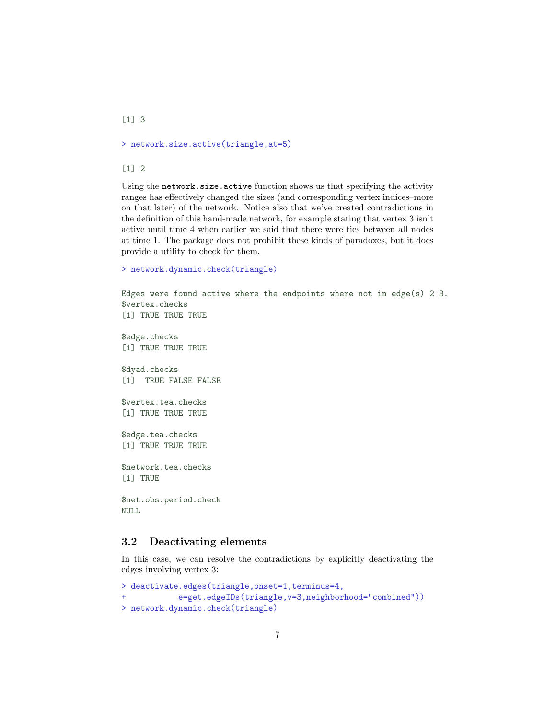[1] 3

> network.size.active(triangle,at=5)

[1] 2

Using the network.size.active function shows us that specifying the activity ranges has effectively changed the sizes (and corresponding vertex indices–more on that later) of the network. Notice also that we've created contradictions in the definition of this hand-made network, for example stating that vertex 3 isn't active until time 4 when earlier we said that there were ties between all nodes at time 1. The package does not prohibit these kinds of paradoxes, but it does provide a utility to check for them.

```
> network.dynamic.check(triangle)
```

```
Edges were found active where the endpoints where not in edge(s) 2\,3.
$vertex.checks
[1] TRUE TRUE TRUE
$edge.checks
[1] TRUE TRUE TRUE
$dyad.checks
[1] TRUE FALSE FALSE
$vertex.tea.checks
[1] TRUE TRUE TRUE
$edge.tea.checks
[1] TRUE TRUE TRUE
$network.tea.checks
[1] TRUE
$net.obs.period.check
NULL
3.2 Deactivating elements
```
<span id="page-6-0"></span>In this case, we can resolve the contradictions by explicitly deactivating the edges involving vertex 3:

```
> deactivate.edges(triangle,onset=1,terminus=4,
+ e=get.edgeIDs(triangle,v=3,neighborhood="combined"))
> network.dynamic.check(triangle)
```

```
7
```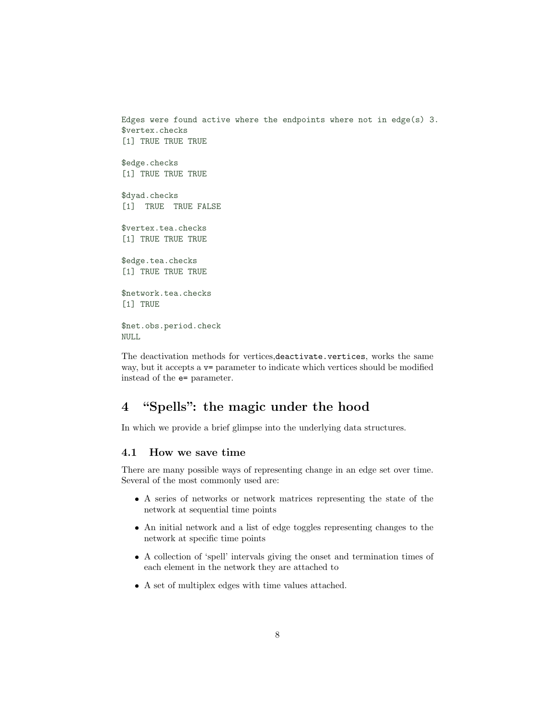```
Edges were found active where the endpoints where not in edge(s) 3.
$vertex.checks
[1] TRUE TRUE TRUE
$edge.checks
[1] TRUE TRUE TRUE
$dyad.checks
[1] TRUE TRUE FALSE
$vertex.tea.checks
[1] TRUE TRUE TRUE
$edge.tea.checks
[1] TRUE TRUE TRUE
$network.tea.checks
[1] TRUE
$net.obs.period.check
NULL
```
The deactivation methods for vertices,deactivate.vertices, works the same way, but it accepts a  $v=$  parameter to indicate which vertices should be modified instead of the e= parameter.

## <span id="page-7-0"></span>4 "Spells": the magic under the hood

In which we provide a brief glimpse into the underlying data structures.

#### <span id="page-7-1"></span>4.1 How we save time

There are many possible ways of representing change in an edge set over time. Several of the most commonly used are:

- ❼ A series of networks or network matrices representing the state of the network at sequential time points
- ❼ An initial network and a list of edge toggles representing changes to the network at specific time points
- ❼ A collection of 'spell' intervals giving the onset and termination times of each element in the network they are attached to
- ❼ A set of multiplex edges with time values attached.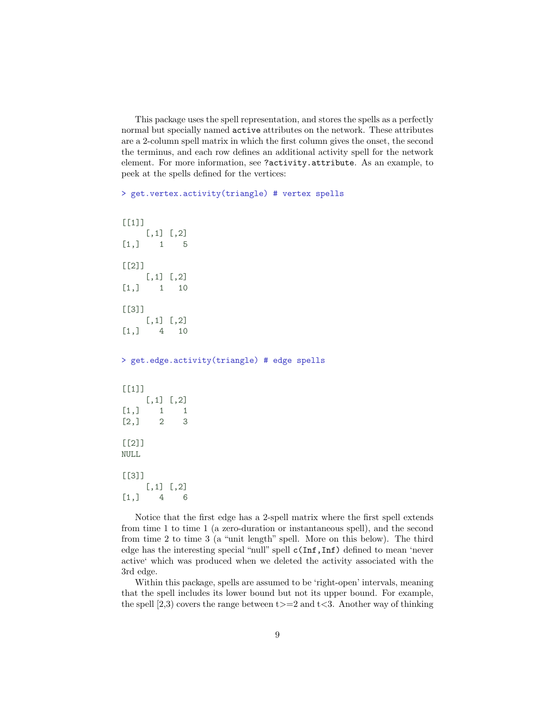This package uses the spell representation, and stores the spells as a perfectly normal but specially named active attributes on the network. These attributes are a 2-column spell matrix in which the first column gives the onset, the second the terminus, and each row defines an additional activity spell for the network element. For more information, see ?activity.attribute. As an example, to peek at the spells defined for the vertices:

```
> get.vertex.activity(triangle) # vertex spells
```

```
[[1]]
    [,1] [,2][1,] 1 5[[2]]
    [,1] [,2][1,] 1 10
[[3]]
    [,1] [,2][1,] 4 10> get.edge.activity(triangle) # edge spells
[[1]]
    [,1] [,2]
[1,] 1 1[2,] 2 3[[2]]
NULL
[[3]]
    [,1] [,2][1,] 4 6
```
Notice that the first edge has a 2-spell matrix where the first spell extends from time 1 to time 1 (a zero-duration or instantaneous spell), and the second from time 2 to time 3 (a "unit length" spell. More on this below). The third edge has the interesting special "null" spell c(Inf,Inf) defined to mean 'never active' which was produced when we deleted the activity associated with the 3rd edge.

Within this package, spells are assumed to be 'right-open' intervals, meaning that the spell includes its lower bound but not its upper bound. For example, the spell  $[2,3)$  covers the range between t $>=2$  and t $<3$ . Another way of thinking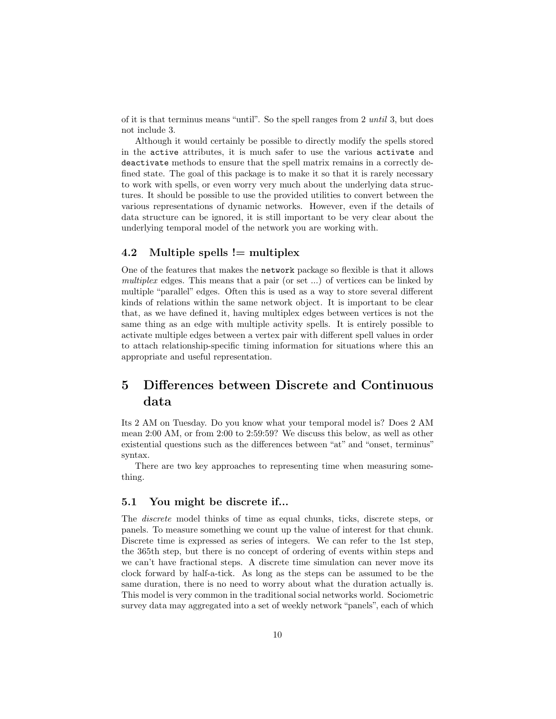of it is that terminus means "until". So the spell ranges from 2 until 3, but does not include 3.

Although it would certainly be possible to directly modify the spells stored in the active attributes, it is much safer to use the various activate and deactivate methods to ensure that the spell matrix remains in a correctly defined state. The goal of this package is to make it so that it is rarely necessary to work with spells, or even worry very much about the underlying data structures. It should be possible to use the provided utilities to convert between the various representations of dynamic networks. However, even if the details of data structure can be ignored, it is still important to be very clear about the underlying temporal model of the network you are working with.

## <span id="page-9-0"></span>4.2 Multiple spells  $!=$  multiplex

One of the features that makes the network package so flexible is that it allows multiplex edges. This means that a pair (or set ...) of vertices can be linked by multiple "parallel" edges. Often this is used as a way to store several different kinds of relations within the same network object. It is important to be clear that, as we have defined it, having multiplex edges between vertices is not the same thing as an edge with multiple activity spells. It is entirely possible to activate multiple edges between a vertex pair with different spell values in order to attach relationship-specific timing information for situations where this an appropriate and useful representation.

## <span id="page-9-1"></span>5 Differences between Discrete and Continuous data

Its 2 AM on Tuesday. Do you know what your temporal model is? Does 2 AM mean 2:00 AM, or from 2:00 to 2:59:59? We discuss this below, as well as other existential questions such as the differences between "at" and "onset, terminus" syntax.

There are two key approaches to representing time when measuring something.

## <span id="page-9-2"></span>5.1 You might be discrete if...

The discrete model thinks of time as equal chunks, ticks, discrete steps, or panels. To measure something we count up the value of interest for that chunk. Discrete time is expressed as series of integers. We can refer to the 1st step, the 365th step, but there is no concept of ordering of events within steps and we can't have fractional steps. A discrete time simulation can never move its clock forward by half-a-tick. As long as the steps can be assumed to be the same duration, there is no need to worry about what the duration actually is. This model is very common in the traditional social networks world. Sociometric survey data may aggregated into a set of weekly network "panels", each of which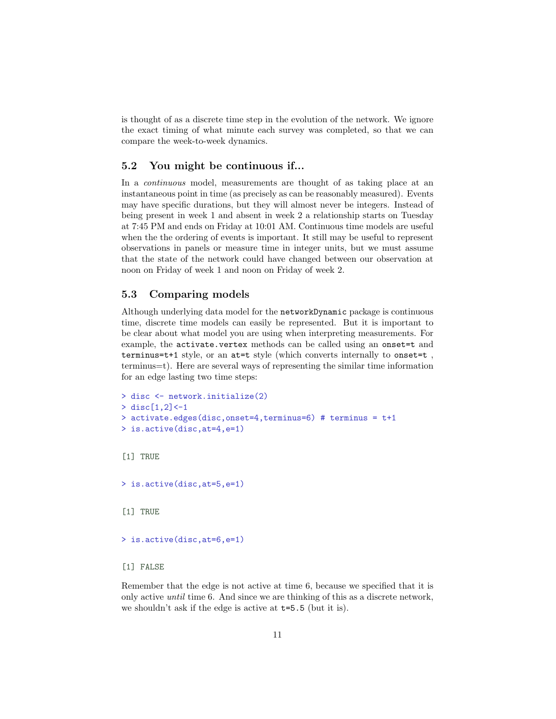is thought of as a discrete time step in the evolution of the network. We ignore the exact timing of what minute each survey was completed, so that we can compare the week-to-week dynamics.

### <span id="page-10-0"></span>5.2 You might be continuous if...

In a *continuous* model, measurements are thought of as taking place at an instantaneous point in time (as precisely as can be reasonably measured). Events may have specific durations, but they will almost never be integers. Instead of being present in week 1 and absent in week 2 a relationship starts on Tuesday at 7:45 PM and ends on Friday at 10:01 AM. Continuous time models are useful when the the ordering of events is important. It still may be useful to represent observations in panels or measure time in integer units, but we must assume that the state of the network could have changed between our observation at noon on Friday of week 1 and noon on Friday of week 2.

### <span id="page-10-1"></span>5.3 Comparing models

Although underlying data model for the networkDynamic package is continuous time, discrete time models can easily be represented. But it is important to be clear about what model you are using when interpreting measurements. For example, the activate.vertex methods can be called using an onset=t and terminus=t+1 style, or an at=t style (which converts internally to onset=t , terminus=t). Here are several ways of representing the similar time information for an edge lasting two time steps:

```
> disc <- network.initialize(2)
> disc[1,2] <-1
> activate.edges(disc,onset=4,terminus=6) # terminus = t+1
> is.active(disc,at=4,e=1)
[1] TRUE
> is.active(disc,at=5,e=1)
[1] TRUE
> is.active(disc,at=6,e=1)
[1] FALSE
```
Remember that the edge is not active at time 6, because we specified that it is only active until time 6. And since we are thinking of this as a discrete network, we shouldn't ask if the edge is active at t=5.5 (but it is).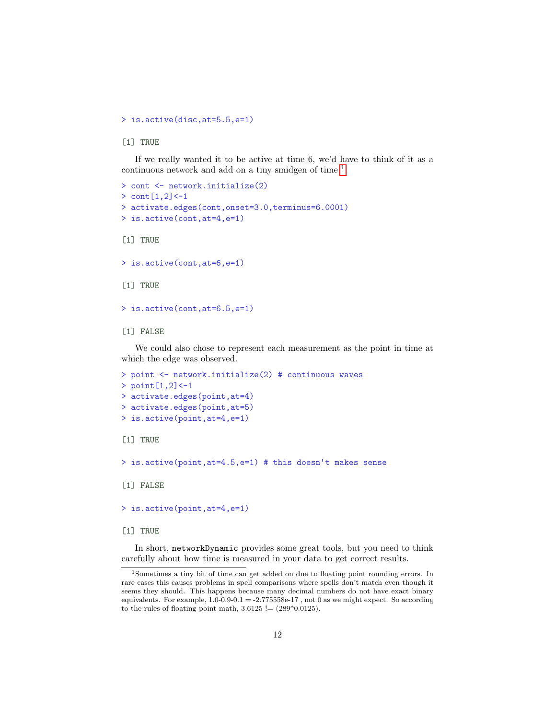> is.active(disc,at=5.5,e=1)

[1] TRUE

If we really wanted it to be active at time 6, we'd have to think of it as a continuous network and add on a tiny smidgen of time <sup>[1](#page-11-0)</sup>.

```
> cont <- network.initialize(2)
> cont [1,2] <-1
> activate.edges(cont,onset=3.0,terminus=6.0001)
> is.active(cont,at=4,e=1)
[1] TRUE
> is.active(cont,at=6,e=1)
[1] TRUE
> is.active(cont,at=6.5,e=1)
[1] FALSE
```
We could also chose to represent each measurement as the point in time at which the edge was observed.

```
> point <- network.initialize(2) # continuous waves
> point [1,2] <-1
> activate.edges(point,at=4)
> activate.edges(point,at=5)
> is.active(point,at=4,e=1)
[1] TRUE
```
> is.active(point,at=4.5,e=1) # this doesn't makes sense

[1] FALSE

> is.active(point,at=4,e=1)

[1] TRUE

In short, networkDynamic provides some great tools, but you need to think carefully about how time is measured in your data to get correct results.

<span id="page-11-0"></span><sup>1</sup>Sometimes a tiny bit of time can get added on due to floating point rounding errors. In rare cases this causes problems in spell comparisons where spells don't match even though it seems they should. This happens because many decimal numbers do not have exact binary equivalents. For example,  $1.0-0.9-0.1 = -2.775558e-17$ , not 0 as we might expect. So according to the rules of floating point math,  $3.6125$  !=  $(289*0.0125)$ .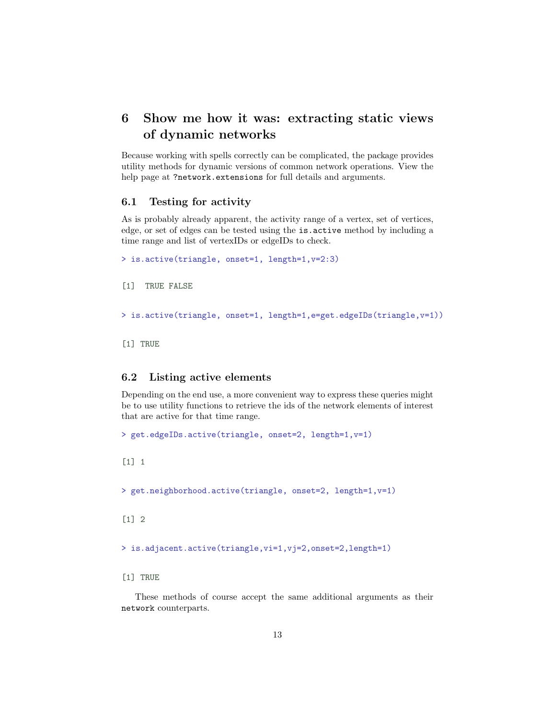## <span id="page-12-0"></span>6 Show me how it was: extracting static views of dynamic networks

Because working with spells correctly can be complicated, the package provides utility methods for dynamic versions of common network operations. View the help page at ?network.extensions for full details and arguments.

## <span id="page-12-1"></span>6.1 Testing for activity

As is probably already apparent, the activity range of a vertex, set of vertices, edge, or set of edges can be tested using the is.active method by including a time range and list of vertexIDs or edgeIDs to check.

```
> is.active(triangle, onset=1, length=1,v=2:3)
[1] TRUE FALSE
> is.active(triangle, onset=1, length=1,e=get.edgeIDs(triangle,v=1))
[1] TRUE
```
### <span id="page-12-2"></span>6.2 Listing active elements

Depending on the end use, a more convenient way to express these queries might be to use utility functions to retrieve the ids of the network elements of interest that are active for that time range.

```
> get.edgeIDs.active(triangle, onset=2, length=1,v=1)
```
[1] 1

```
> get.neighborhood.active(triangle, onset=2, length=1,v=1)
```
 $[1]$  2

> is.adjacent.active(triangle,vi=1,vj=2,onset=2,length=1)

[1] TRUE

These methods of course accept the same additional arguments as their network counterparts.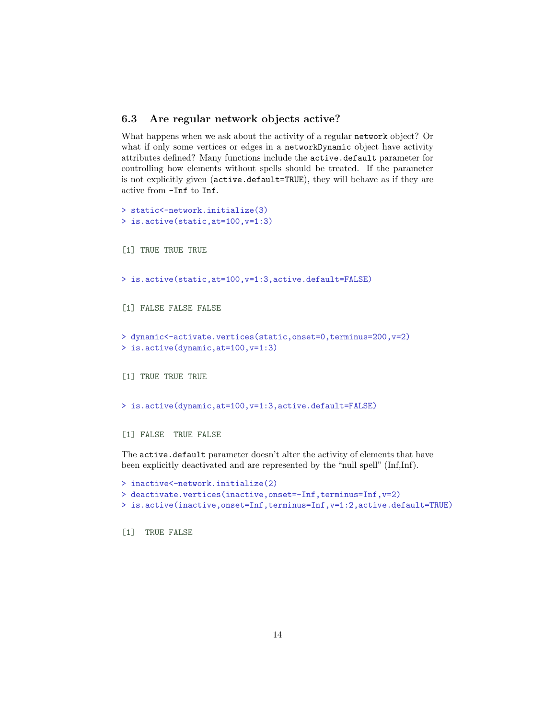## <span id="page-13-0"></span>6.3 Are regular network objects active?

What happens when we ask about the activity of a regular network object? Or what if only some vertices or edges in a networkDynamic object have activity attributes defined? Many functions include the active.default parameter for controlling how elements without spells should be treated. If the parameter is not explicitly given (active.default=TRUE), they will behave as if they are active from -Inf to Inf.

```
> static<-network.initialize(3)
> is.active(static,at=100,v=1:3)
[1] TRUE TRUE TRUE
> is.active(static,at=100,v=1:3,active.default=FALSE)
[1] FALSE FALSE FALSE
> dynamic<-activate.vertices(static,onset=0,terminus=200,v=2)
> is.active(dynamic,at=100,v=1:3)
[1] TRUE TRUE TRUE
> is.active(dynamic,at=100,v=1:3,active.default=FALSE)
[1] FALSE TRUE FALSE
The active.default parameter doesn't alter the activity of elements that have
been explicitly deactivated and are represented by the "null spell" (Inf,Inf).
> inactive<-network.initialize(2)
> deactivate.vertices(inactive,onset=-Inf,terminus=Inf,v=2)
> is.active(inactive,onset=Inf,terminus=Inf,v=1:2,active.default=TRUE)
```
[1] TRUE FALSE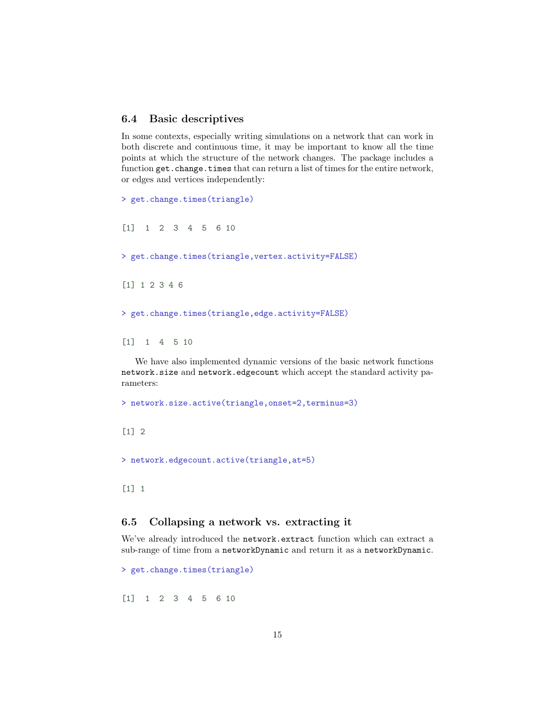## <span id="page-14-0"></span>6.4 Basic descriptives

In some contexts, especially writing simulations on a network that can work in both discrete and continuous time, it may be important to know all the time points at which the structure of the network changes. The package includes a function get.change.times that can return a list of times for the entire network, or edges and vertices independently:

```
> get.change.times(triangle)
[1] 1 2 3 4 5 6 10
> get.change.times(triangle,vertex.activity=FALSE)
[1] 1 2 3 4 6
> get.change.times(triangle,edge.activity=FALSE)
[1] 1 4 5 10
  We have also implemented dynamic versions of the basic network functions
```
network.size and network.edgecount which accept the standard activity parameters:

> network.size.active(triangle,onset=2,terminus=3)

 $\lceil 1 \rceil$  2

> network.edgecount.active(triangle,at=5)

[1] 1

### <span id="page-14-1"></span>6.5 Collapsing a network vs. extracting it

We've already introduced the network.extract function which can extract a sub-range of time from a networkDynamic and return it as a networkDynamic.

> get.change.times(triangle)

[1] 1 2 3 4 5 6 10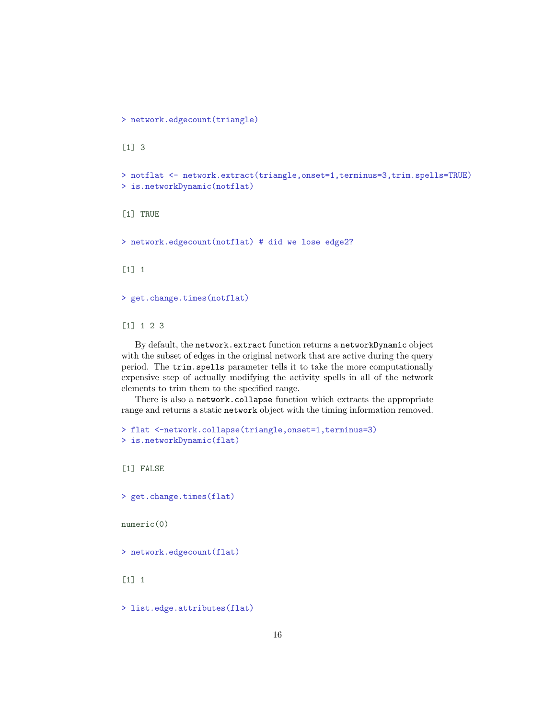> network.edgecount(triangle)

```
[1] 3
```

```
> notflat <- network.extract(triangle,onset=1,terminus=3,trim.spells=TRUE)
> is.networkDynamic(notflat)
```
[1] TRUE

> network.edgecount(notflat) # did we lose edge2?

[1] 1

> get.change.times(notflat)

[1] 1 2 3

By default, the network.extract function returns a networkDynamic object with the subset of edges in the original network that are active during the query period. The trim.spells parameter tells it to take the more computationally expensive step of actually modifying the activity spells in all of the network elements to trim them to the specified range.

There is also a network.collapse function which extracts the appropriate range and returns a static network object with the timing information removed.

```
> flat <-network.collapse(triangle,onset=1,terminus=3)
> is.networkDynamic(flat)
```
[1] FALSE

> get.change.times(flat)

numeric(0)

> network.edgecount(flat)

[1] 1

> list.edge.attributes(flat)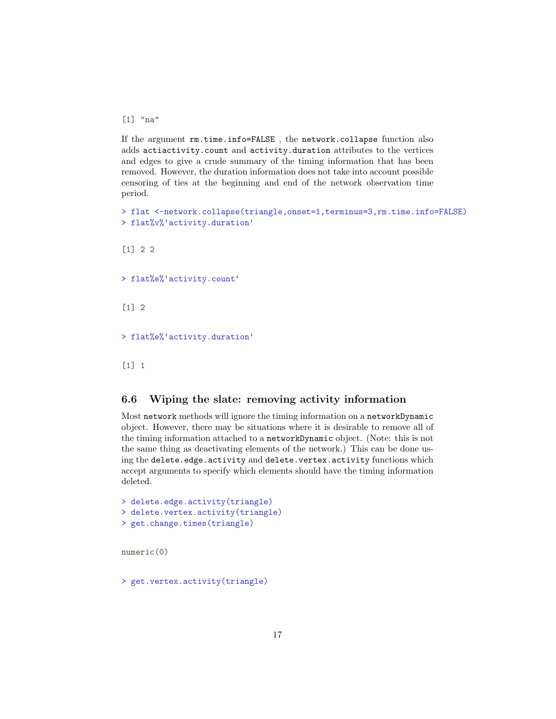[1] "na"

If the argument rm.time.info=FALSE , the network.collapse function also adds actiactivity.count and activity.duration attributes to the vertices and edges to give a crude summary of the timing information that has been removed. However, the duration information does not take into account possible censoring of ties at the beginning and end of the network observation time period.

```
> flat <-network.collapse(triangle,onset=1,terminus=3,rm.time.info=FALSE)<br>> flat%v%'activity.duration'
```
[1] 2 2

> flat%e%'activity.count'

 $\lceil 1 \rceil$  2

> flat%e%'activity.duration'

[1] 1

## <span id="page-16-0"></span>6.6 Wiping the slate: removing activity information

Most network methods will ignore the timing information on a networkDynamic object. However, there may be situations where it is desirable to remove all of the timing information attached to a networkDynamic object. (Note: this is not the same thing as deactivating elements of the network.) This can be done using the delete.edge.activity and delete.vertex.activity functions which accept arguments to specify which elements should have the timing information deleted.

```
> delete.edge.activity(triangle)
> delete.vertex.activity(triangle)
> get.change.times(triangle)
```
numeric(0)

> get.vertex.activity(triangle)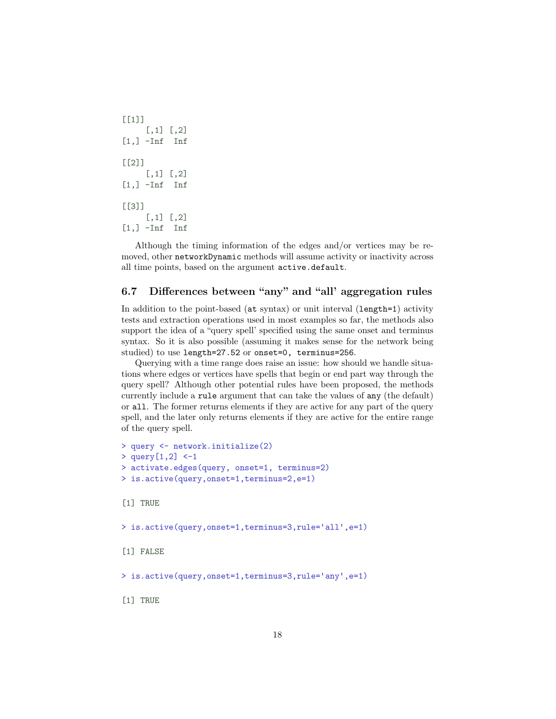```
[[1][,1] [,2][1,] -Inf Inf
[[2]]
    [,1] [,2][1,] -Inf Inf
[[3]]
    [,1] [,2][1,] -Inf Inf
```
Although the timing information of the edges and/or vertices may be removed, other networkDynamic methods will assume activity or inactivity across all time points, based on the argument active.default.

## <span id="page-17-0"></span>6.7 Differences between "any" and "all' aggregation rules

In addition to the point-based (at syntax) or unit interval (length=1) activity tests and extraction operations used in most examples so far, the methods also support the idea of a "query spell' specified using the same onset and terminus syntax. So it is also possible (assuming it makes sense for the network being studied) to use length=27.52 or onset=0, terminus=256.

Querying with a time range does raise an issue: how should we handle situations where edges or vertices have spells that begin or end part way through the query spell? Although other potential rules have been proposed, the methods currently include a rule argument that can take the values of any (the default) or all. The former returns elements if they are active for any part of the query spell, and the later only returns elements if they are active for the entire range of the query spell.

```
> query <- network.initialize(2)
> query[1,2] <-1
> activate.edges(query, onset=1, terminus=2)
> is.active(query,onset=1,terminus=2,e=1)
[1] TRUE
> is.active(query,onset=1,terminus=3,rule='all',e=1)
[1] FALSE
> is.active(query,onset=1,terminus=3,rule='any',e=1)
```
[1] TRUE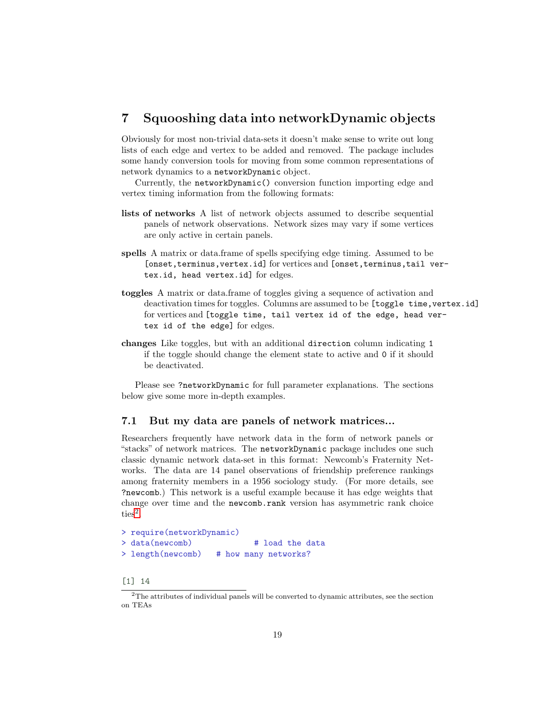## <span id="page-18-0"></span>7 Squooshing data into networkDynamic objects

Obviously for most non-trivial data-sets it doesn't make sense to write out long lists of each edge and vertex to be added and removed. The package includes some handy conversion tools for moving from some common representations of network dynamics to a networkDynamic object.

Currently, the networkDynamic() conversion function importing edge and vertex timing information from the following formats:

- lists of networks A list of network objects assumed to describe sequential panels of network observations. Network sizes may vary if some vertices are only active in certain panels.
- spells A matrix or data.frame of spells specifying edge timing. Assumed to be [onset,terminus,vertex.id] for vertices and [onset,terminus,tail vertex.id, head vertex.id] for edges.
- toggles A matrix or data.frame of toggles giving a sequence of activation and deactivation times for toggles. Columns are assumed to be [toggle time, vertex.id] for vertices and [toggle time, tail vertex id of the edge, head vertex id of the edge] for edges.
- changes Like toggles, but with an additional direction column indicating 1 if the toggle should change the element state to active and 0 if it should be deactivated.

Please see ?networkDynamic for full parameter explanations. The sections below give some more in-depth examples.

### <span id="page-18-1"></span>7.1 But my data are panels of network matrices...

Researchers frequently have network data in the form of network panels or "stacks" of network matrices. The networkDynamic package includes one such classic dynamic network data-set in this format: Newcomb's Fraternity Networks. The data are 14 panel observations of friendship preference rankings among fraternity members in a 1956 sociology study. (For more details, see ?newcomb.) This network is a useful example because it has edge weights that change over time and the newcomb.rank version has asymmetric rank choice  $ties<sup>2</sup>$  $ties<sup>2</sup>$  $ties<sup>2</sup>$ .

```
> require(networkDynamic)
> data(newcomb) # load the data
> length(newcomb) # how many networks?
```

```
[1] 14
```
<span id="page-18-2"></span><sup>2</sup>The attributes of individual panels will be converted to dynamic attributes, see the section on TEAs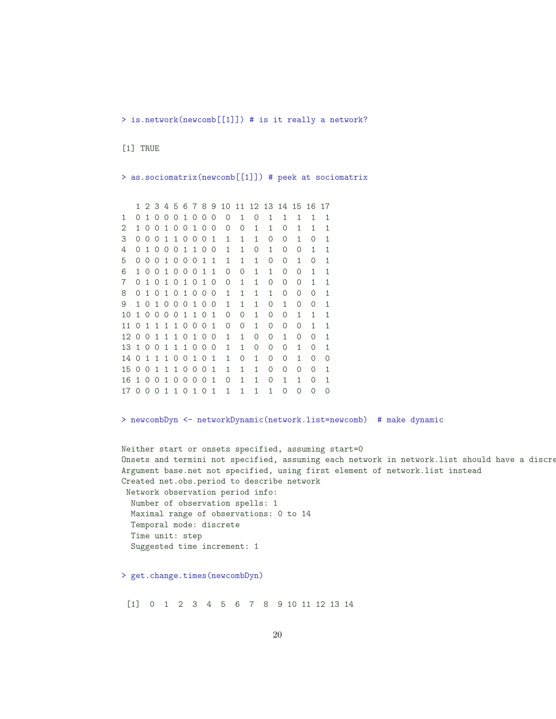> is.network(newcomb[[1]]) # is it really a network?

[1] TRUE

> as.sociomatrix(newcomb[[1]]) # peek at sociomatrix

```
1 2 3 4 5 6 7 8 9 10 11 12 13 14 15 16 17
1 0 1 0 0 0 1 0 0 0 0 1 0 1 1 1 1 1
2 1 0 0 1 0 0 1 0 0 0 0 1 1 0 1 1 1
3 0 0 0 1 1 0 0 0 1 1 1 1 0 0 1 0 1
4 0 1 0 0 0 1 1 0 0 1 1 0 1 0 0 1 1
5 0 0 0 1 0 0 0 1 1 1 1 1 0 0 1 0 1
6 1 0 0 1 0 0 0 1 1 0 0 1 1 0 0 1 1
7 0 1 0 1 0 1 0 1 0 0 1 1 0 0 0 1 1
8 0 1 0 1 0 1 0 0 0 1 1 1 1 0 0 0 1
9 1 0 1 0 0 0 1 0 0 1 1 1 0 1 0 0 1
10 1 0 0 0 0 1 1 0 1 0 0 1 0 0 1 1 1
11 0 1 1 1 1 0 0 0 1 0 0 1 0 0 0 1 1
12 0 0 1 1 1 0 1 0 0 1 1 0 0 1 0 0 1
13 1 0 0 1 1 1 0 0 0 1 1 0 0 0 1 0 1
14 0 1 1 1 0 0 1 0 1 1 0 1 0 0 1 0 0
15 0 0 1 1 1 0 0 0 1 1 1 1 0 0 0 0 1
16 1 0 0 1 0 0 0 0 1 0 1 1 0 1 1 0 1
17 0 0 0 1 1 0 1 0 1 1 1 1 1 0 0 0 0
```
> newcombDyn <- networkDynamic(network.list=newcomb) # make dynamic

```
Neither start or onsets specified, assuming start=0
Onsets and termini not specified, assuming each network in network.list should have a discre
Argument base.net not specified, using first element of network.list instead
Created net.obs.period to describe network
Network observation period info:
 Number of observation spells: 1
 Maximal range of observations: 0 to 14
 Temporal mode: discrete
 Time unit: step
  Suggested time increment: 1
> get.change.times(newcombDyn)
```
[1] 0 1 2 3 4 5 6 7 8 9 10 11 12 13 14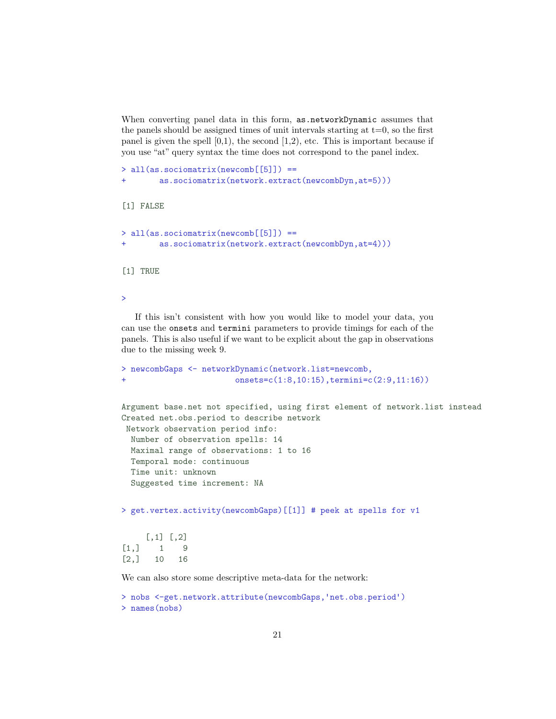When converting panel data in this form, as networkDynamic assumes that the panels should be assigned times of unit intervals starting at  $t=0$ , so the first panel is given the spell  $[0,1)$ , the second  $[1,2)$ , etc. This is important because if you use "at" query syntax the time does not correspond to the panel index.

```
> all(as.sociomatrix(newcomb[[5]]) ==
        as.sociomatrix(network.extract(newcombDyn,at=5)))
[1] FALSE
> all(as.sociomatrix(newcomb[[5]]) ==
        as.sociomatrix(network.extract(newcombDyn,at=4)))
[1] TRUE
```
>

If this isn't consistent with how you would like to model your data, you can use the onsets and termini parameters to provide timings for each of the panels. This is also useful if we want to be explicit about the gap in observations due to the missing week 9.

```
> newcombGaps <- networkDynamic(network.list=newcomb,
+ onsets=c(1:8,10:15),termini=c(2:9,11:16))
```

```
Argument base.net not specified, using first element of network.list instead
Created net.obs.period to describe network
Network observation period info:
 Number of observation spells: 14
 Maximal range of observations: 1 to 16
 Temporal mode: continuous
 Time unit: unknown
 Suggested time increment: NA
```
> get.vertex.activity(newcombGaps)[[1]] # peek at spells for v1

```
[,1] [,2][1,] 1 9[2,] 10 16
```
We can also store some descriptive meta-data for the network:

```
> nobs <-get.network.attribute(newcombGaps,'net.obs.period')
> names(nobs)
```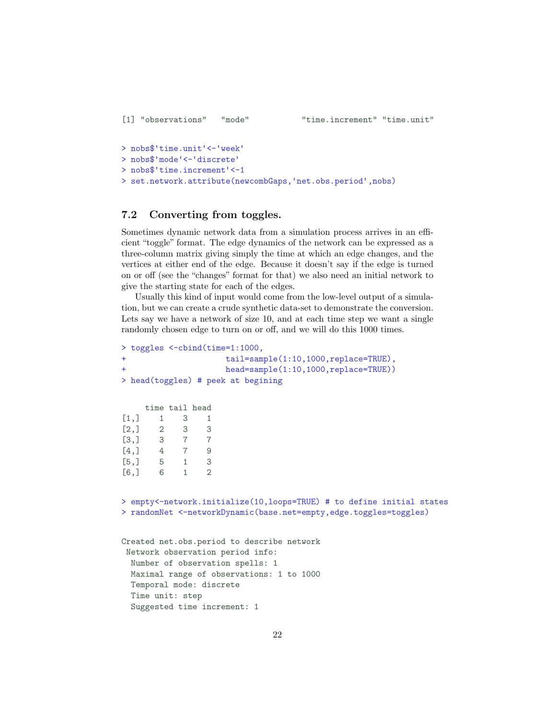```
> nobs$'time.unit' <-'week'
> nobs$'mode' <-'discrete'
> nobs$'time.increment'<-1
> set.network.attribute(newcombGaps,'net.obs.period',nobs)
```
## <span id="page-21-0"></span>7.2 Converting from toggles.

Sometimes dynamic network data from a simulation process arrives in an efficient "toggle" format. The edge dynamics of the network can be expressed as a three-column matrix giving simply the time at which an edge changes, and the vertices at either end of the edge. Because it doesn't say if the edge is turned on or off (see the "changes" format for that) we also need an initial network to give the starting state for each of the edges.

Usually this kind of input would come from the low-level output of a simulation, but we can create a crude synthetic data-set to demonstrate the conversion. Lets say we have a network of size 10, and at each time step we want a single randomly chosen edge to turn on or off, and we will do this 1000 times.

```
> toggles <-cbind(time=1:1000,
+ tail=sample(1:10,1000,replace=TRUE),
+ head=sample(1:10,1000,replace=TRUE))
> head(toggles) # peek at begining
    time tail head
[1,] 1 3 1
[2,] 2 3 3
[3,] 3 7 7
[4,] 4 7 9
[5,] 5 1 3
[6,] 6 1 2
> empty<-network.initialize(10,loops=TRUE) # to define initial states
> randomNet <-networkDynamic(base.net=empty,edge.toggles=toggles)
Created net.obs.period to describe network
Network observation period info:
 Number of observation spells: 1
 Maximal range of observations: 1 to 1000
 Temporal mode: discrete
 Time unit: step
 Suggested time increment: 1
```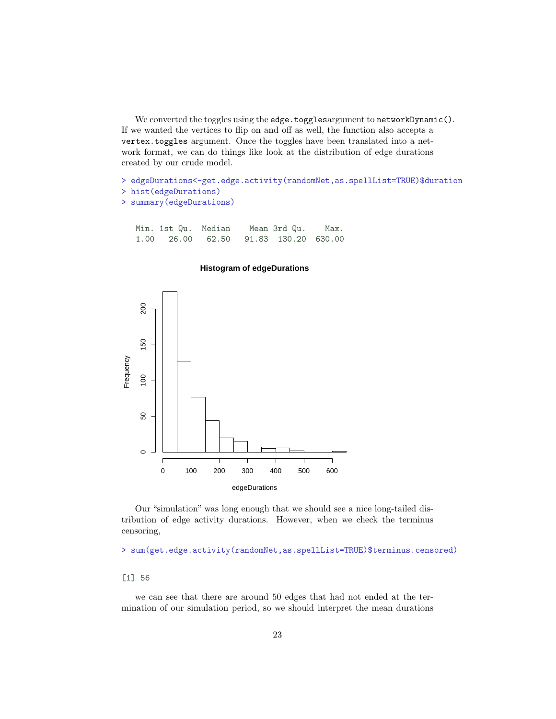We converted the toggles using the edge.togglesargument to networkDynamic(). If we wanted the vertices to flip on and off as well, the function also accepts a vertex.toggles argument. Once the toggles have been translated into a network format, we can do things like look at the distribution of edge durations created by our crude model.

> edgeDurations<-get.edge.activity(randomNet,as.spellList=TRUE)\$duration

```
> hist(edgeDurations)
> summary(edgeDurations)
```

| Min. 1st Qu. Median |  | Mean 3rd Qu.              | Max. |
|---------------------|--|---------------------------|------|
| 1.00 26.00          |  | 62.50 91.83 130.20 630.00 |      |

#### **Histogram of edgeDurations**



Our "simulation" was long enough that we should see a nice long-tailed distribution of edge activity durations. However, when we check the terminus censoring,

> sum(get.edge.activity(randomNet,as.spellList=TRUE)\$terminus.censored)

#### [1] 56

we can see that there are around 50 edges that had not ended at the termination of our simulation period, so we should interpret the mean durations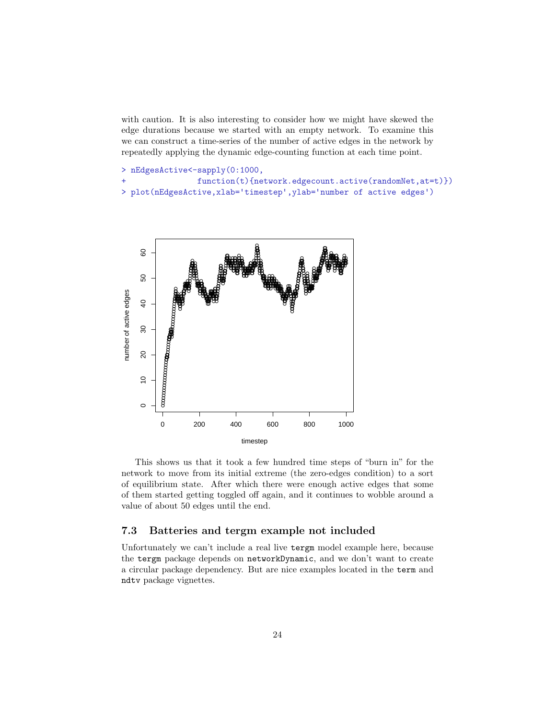with caution. It is also interesting to consider how we might have skewed the edge durations because we started with an empty network. To examine this we can construct a time-series of the number of active edges in the network by repeatedly applying the dynamic edge-counting function at each time point.

```
> nEdgesActive<-sapply(0:1000,
+ function(t){network.edgecount.active(randomNet,at=t)})
> plot(nEdgesActive, xlab='timestep', ylab='number of active edges')
```


This shows us that it took a few hundred time steps of "burn in" for the network to move from its initial extreme (the zero-edges condition) to a sort of equilibrium state. After which there were enough active edges that some of them started getting toggled off again, and it continues to wobble around a value of about 50 edges until the end.

## <span id="page-23-0"></span>7.3 Batteries and tergm example not included

Unfortunately we can't include a real live tergm model example here, because the tergm package depends on networkDynamic, and we don't want to create a circular package dependency. But are nice examples located in the term and ndtv package vignettes.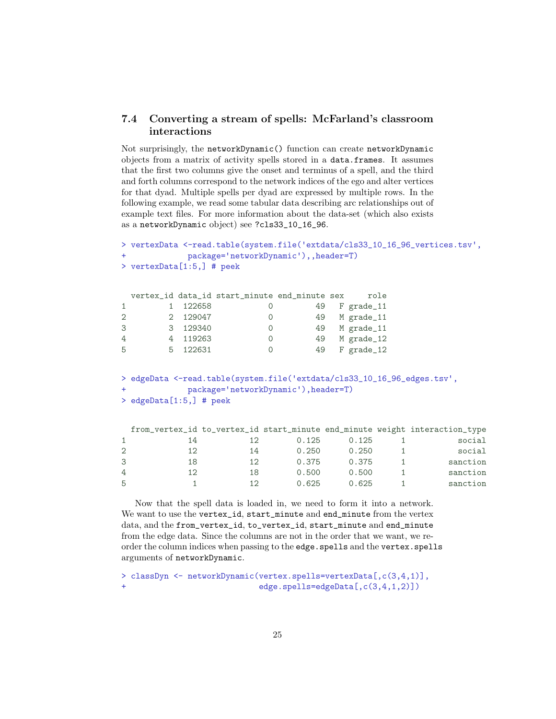## <span id="page-24-0"></span>7.4 Converting a stream of spells: McFarland's classroom interactions

Not surprisingly, the networkDynamic() function can create networkDynamic objects from a matrix of activity spells stored in a data.frames. It assumes that the first two columns give the onset and terminus of a spell, and the third and forth columns correspond to the network indices of the ego and alter vertices for that dyad. Multiple spells per dyad are expressed by multiple rows. In the following example, we read some tabular data describing arc relationships out of example text files. For more information about the data-set (which also exists as a networkDynamic object) see ?cls33\_10\_16\_96.

```
> vertexData <-read.table(system.file(✬extdata/cls33_10_16_96_vertices.tsv✬,
> vertexData <-read.table(system.file('extdata/cls<br>+ package='networkDynamic'),,header=T)
> vertexData[1:5,] # peek
 vertex_id data_id start_minute end_minute sex    role
1 122658 0 49 F grade_11
2 2 129047 0 49 M grade_11
3 3 129340 0 49 M grade_11
4 4 119263 0 49 M grade_12
5 5 122631 0 49 F grade_12
> edgeData <-read.table(system.file(✬extdata/cls33_10_16_96_edges.tsv✬,
%> edgeData <-read.table(system.file('extdata/cls3<br>+ package='networkDynamic'),header=T)
> edgeData[1:5,] # peek
 from_vertex_id to_vertex_id start_minute end_minute weight interaction_type
1 14 12 0.125 0.125 1 social
2 12 14 0.250 0.250 1 social
3 18 12 0.375 0.375 1 sanction
4 12 18 0.500 0.500 1 sanction
5 1 12 0.625 0.625 1 sanction
```
Now that the spell data is loaded in, we need to form it into a network. We want to use the vertex\_id, start\_minute and end\_minute from the vertex data, and the from\_vertex\_id, to\_vertex\_id, start\_minute and end\_minute from the edge data. Since the columns are not in the order that we want, we reorder the column indices when passing to the edge.spells and the vertex.spells arguments of networkDynamic.

```
> classDyn <- networkDynamic(vertex.spells=vertexData[,c(3,4,1)],
+ edge.spells=edgeData[,c(3,4,1,2)])
```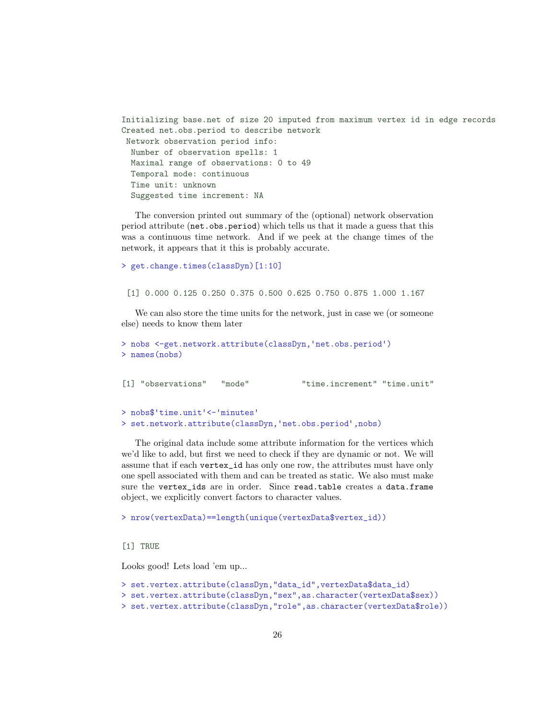```
Initializing base.net of size 20 imputed from maximum vertex id in edge records
Created net.obs.period to describe network
Network observation period info:
 Number of observation spells: 1
 Maximal range of observations: 0 to 49
 Temporal mode: continuous
  Time unit: unknown
  Suggested time increment: NA
```
The conversion printed out summary of the (optional) network observation period attribute (net.obs.period) which tells us that it made a guess that this was a continuous time network. And if we peek at the change times of the network, it appears that it this is probably accurate.

```
> get.change.times(classDyn)[1:10]
```
[1] 0.000 0.125 0.250 0.375 0.500 0.625 0.750 0.875 1.000 1.167

We can also store the time units for the network, just in case we (or someone else) needs to know them later

```
> nobs <-get.network.attribute(classDyn,'net.obs.period')
> names(nobs)
[1] "observations" "mode" "time.increment" "time.unit"
> nobs$'time.unit' <-'minutes'
> set.network.attribute(classDyn,'net.obs.period',nobs)
```
The original data include some attribute information for the vertices which we'd like to add, but first we need to check if they are dynamic or not. We will assume that if each vertex\_id has only one row, the attributes must have only one spell associated with them and can be treated as static. We also must make sure the vertex\_ids are in order. Since read.table creates a data.frame object, we explicitly convert factors to character values.

> nrow(vertexData)==length(unique(vertexData\$vertex\_id))

[1] TRUE

Looks good! Lets load 'em up...

```
> set.vertex.attribute(classDyn,"data_id",vertexData$data_id)
> set.vertex.attribute(classDyn,"sex",as.character(vertexData$sex))
> set.vertex.attribute(classDyn,"role",as.character(vertexData$role))
```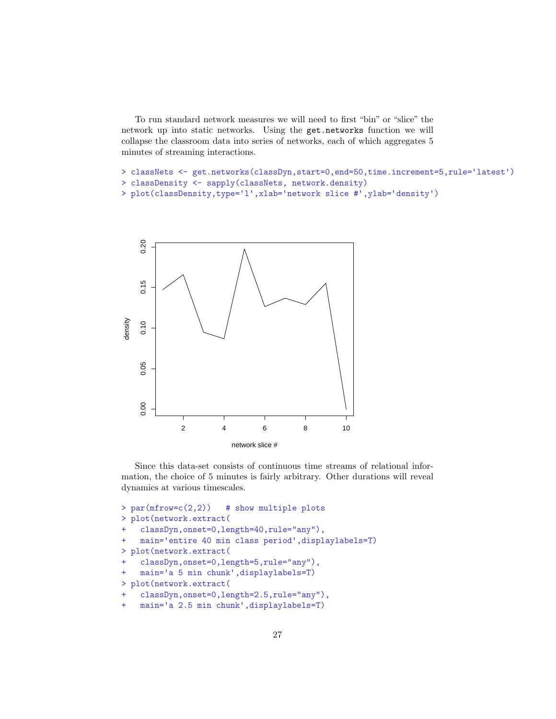To run standard network measures we will need to first "bin" or "slice" the network up into static networks. Using the get.networks function we will collapse the classroom data into series of networks, each of which aggregates 5 minutes of streaming interactions.

```
> classNets <- get.networks(classDyn,start=0,end=50,time.increment=5,rule='latest')
> classDensity <- sapply(classNets, network.density)
```

```
> plot(classDensity,type='l',xlab='network slice #',ylab='density')
```


Since this data-set consists of continuous time streams of relational information, the choice of 5 minutes is fairly arbitrary. Other durations will reveal dynamics at various timescales.

```
> par(mfrow=c(2,2)) # show multiple plots
> plot(network.extract(
    classDyn,onset=0,length=40,rule="any"),
    main='entire 40 min class period',displaylabels=T)
> plot(network.extract(
    classDyn,onset=0,length=5,rule="any"),
    main='a 5 min chunk',displaylabels=T)
> plot(network.extract(
    classDyn,onset=0,length=2.5,rule="any"),
+ main='a 2.5 min chunk',displaylabels=T)
```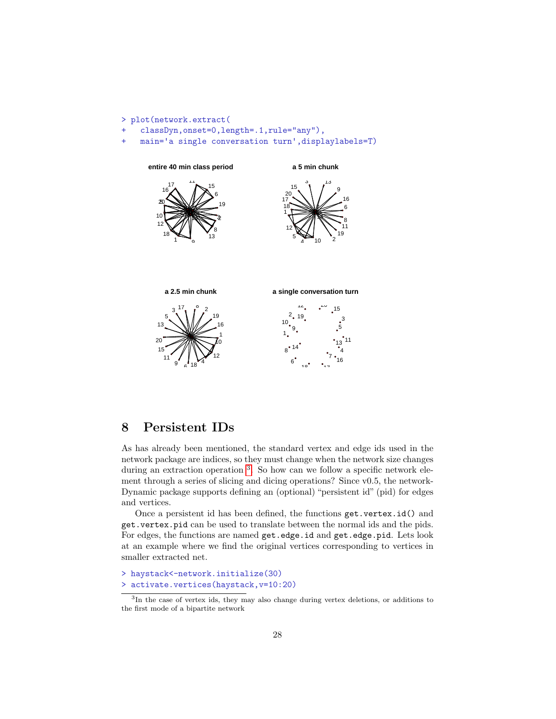

## <span id="page-27-0"></span>8 Persistent IDs

As has already been mentioned, the standard vertex and edge ids used in the network package are indices, so they must change when the network size changes during an extraction operation <sup>[3](#page-27-1)</sup>. So how can we follow a specific network element through a series of slicing and dicing operations? Since v0.5, the network-Dynamic package supports defining an (optional) "persistent id" (pid) for edges and vertices.

Once a persistent id has been defined, the functions get.vertex.id() and get.vertex.pid can be used to translate between the normal ids and the pids. For edges, the functions are named get.edge.id and get.edge.pid. Lets look at an example where we find the original vertices corresponding to vertices in smaller extracted net.

```
> haystack<-network.initialize(30)
> activate.vertices(haystack,v=10:20)
```
<span id="page-27-1"></span> In the case of vertex ids, they may also change during vertex deletions, or additions to the first mode of a bipartite network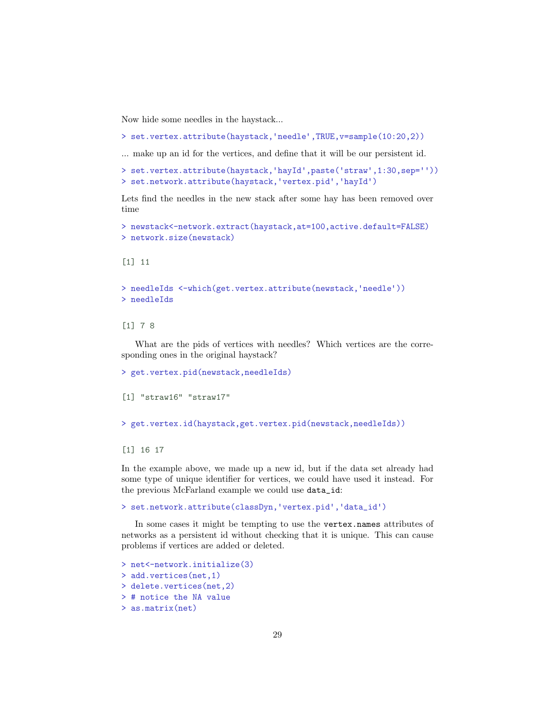Now hide some needles in the haystack...

```
> set.vertex.attribute(haystack,'needle',TRUE,v=sample(10:20,2))
```
... make up an id for the vertices, and define that it will be our persistent id.

```
... make up an id for the vertices, and define that it win be our persistent id:<br>→ set.vertex.attribute(haystack, 'hayId',paste('straw',1:30,sep=''))
> set.vertex.attribute(haystack,'hayId',paste('straw'<mark>,</mark><br>> set.network.attribute(haystack,'vertex.pid','hayId')
```
Lets find the needles in the new stack after some hay has been removed over time

```
> newstack<-network.extract(haystack,at=100,active.default=FALSE)
> network.size(newstack)
```
[1] 11

```
> needleIds <-which(get.vertex.attribute(newstack,'needle'))
> needleIds
```
#### [1] 7 8

What are the pids of vertices with needles? Which vertices are the corresponding ones in the original haystack?

```
> get.vertex.pid(newstack,needleIds)
[1] "straw16" "straw17"
> get.vertex.id(haystack,get.vertex.pid(newstack,needleIds))
[1] 16 17
```
In the example above, we made up a new id, but if the data set already had some type of unique identifier for vertices, we could have used it instead. For the previous McFarland example we could use data\_id:

```
> set.network.attribute(classDyn,'vertex.pid','data_id')
```
In some cases it might be tempting to use the vertex.names attributes of networks as a persistent id without checking that it is unique. This can cause problems if vertices are added or deleted.

```
> net<-network.initialize(3)
> add.vertices(net,1)
> delete.vertices(net,2)
> # notice the NA value
> as.matrix(net)
```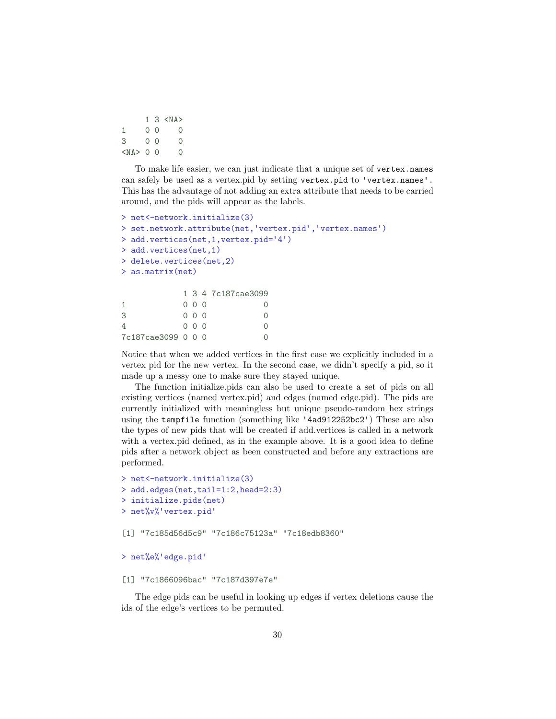|              |                | $1 \text{ } 3 \text{ } A>$ |
|--------------|----------------|----------------------------|
| $\mathbf{1}$ | 0 O            | O                          |
| 3            | 0 <sup>0</sup> | O                          |
| $0$ 0        |                | Ω                          |

To make life easier, we can just indicate that a unique set of vertex.names can safely be used as a vertex.pid by setting vertex.pid to 'vertex.names'. This has the advantage of not adding an extra attribute that needs to be carried around, and the pids will appear as the labels.

```
> net<-network.initialize(3)
> net<-network.initialize(3)<br>> set.network.attribute(net,'vertex.pid','vertex.names')
> set.network.attribute(net,'vertex.<br>> add.vertices(net,1,vertex.pid='4')
> add.vertices(net,1)
> delete.vertices(net,2)
> as.matrix(net)
            1 3 4 7c187cae3099
1 0 0 0 0
3 0 0 0 0
4 0 0 0 0
7c187cae3099 0 0 0 0
```
Notice that when we added vertices in the first case we explicitly included in a vertex pid for the new vertex. In the second case, we didn't specify a pid, so it made up a messy one to make sure they stayed unique.

The function initialize.pids can also be used to create a set of pids on all existing vertices (named vertex.pid) and edges (named edge.pid). The pids are currently initialized with meaningless but unique pseudo-random hex strings using the tempfile function (something like '4ad912252bc2') These are also the types of new pids that will be created if add.vertices is called in a network with a vertex.pid defined, as in the example above. It is a good idea to define pids after a network object as been constructed and before any extractions are performed.

```
> net<-network.initialize(3)
> add.edges(net,tail=1:2,head=2:3)
> initialize.pids(net)<br>> net%v%'vertex.pid'
```
[1] "7c185d56d5c9" "7c186c75123a" "7c18edb8360"

```
> net%e%'edge.pid'
```

```
[1] "7c1866096bac" "7c187d397e7e"
```
The edge pids can be useful in looking up edges if vertex deletions cause the ids of the edge's vertices to be permuted.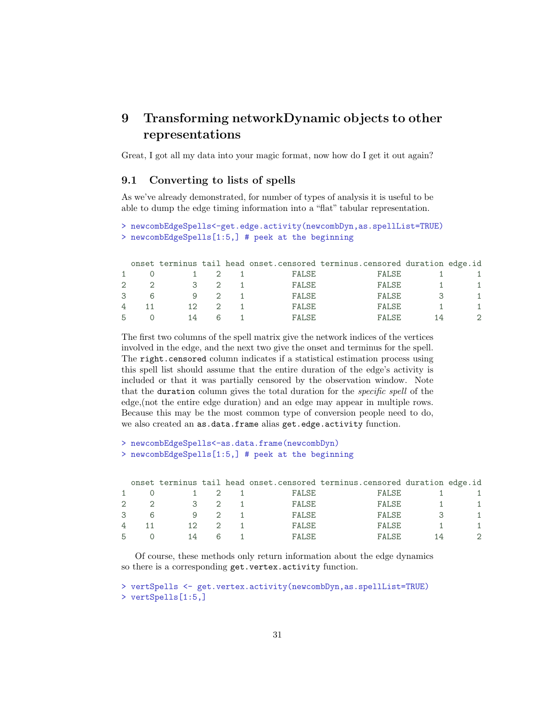## <span id="page-30-0"></span>9 Transforming networkDynamic objects to other representations

Great, I got all my data into your magic format, now how do I get it out again?

### <span id="page-30-1"></span>9.1 Converting to lists of spells

As we've already demonstrated, for number of types of analysis it is useful to be able to dump the edge timing information into a "flat" tabular representation.

```
> newcombEdgeSpells<-get.edge.activity(newcombDyn,as.spellList=TRUE)
> newcombEdgeSpells[1:5,] # peek at the beginning
```

|               |    |  |        | onset terminus tail head onset.censored terminus.censored duration edge.id |    |  |
|---------------|----|--|--------|----------------------------------------------------------------------------|----|--|
|               |    |  | FALSE  | FALSE                                                                      |    |  |
| 2             |    |  | FALSE  | FALSE                                                                      |    |  |
| $\mathcal{B}$ |    |  | FALSE  | FALSE                                                                      |    |  |
| 4             |    |  | FALSE  | FALSE                                                                      |    |  |
| 5             | 14 |  | FALSE. | FALSE.                                                                     | 14 |  |

The first two columns of the spell matrix give the network indices of the vertices involved in the edge, and the next two give the onset and terminus for the spell. The right.censored column indicates if a statistical estimation process using this spell list should assume that the entire duration of the edge's activity is included or that it was partially censored by the observation window. Note that the duration column gives the total duration for the specific spell of the edge,(not the entire edge duration) and an edge may appear in multiple rows. Because this may be the most common type of conversion people need to do, we also created an as.data.frame alias get.edge.activity function.

```
> newcombEdgeSpells<-as.data.frame(newcombDyn)
> newcombEdgeSpells[1:5,] # peek at the beginning
```

|   |   |    |  |              | onset terminus tail head onset. censored terminus. censored duration edge. id |               |
|---|---|----|--|--------------|-------------------------------------------------------------------------------|---------------|
|   |   |    |  | FALSE        | FALSE                                                                         |               |
|   |   |    |  | FALSE        | FALSE                                                                         |               |
| 3 | 6 |    |  | FALSE        | FALSE                                                                         | 1.            |
| 4 |   | 12 |  | <b>FALSE</b> | FALSE                                                                         | 1             |
| 5 |   | 14 |  | FALSE.       | FALSE.                                                                        | $\mathcal{D}$ |

Of course, these methods only return information about the edge dynamics so there is a corresponding get.vertex.activity function.

```
> vertSpells <- get.vertex.activity(newcombDyn,as.spellList=TRUE)
> vertSpells[1:5,]
```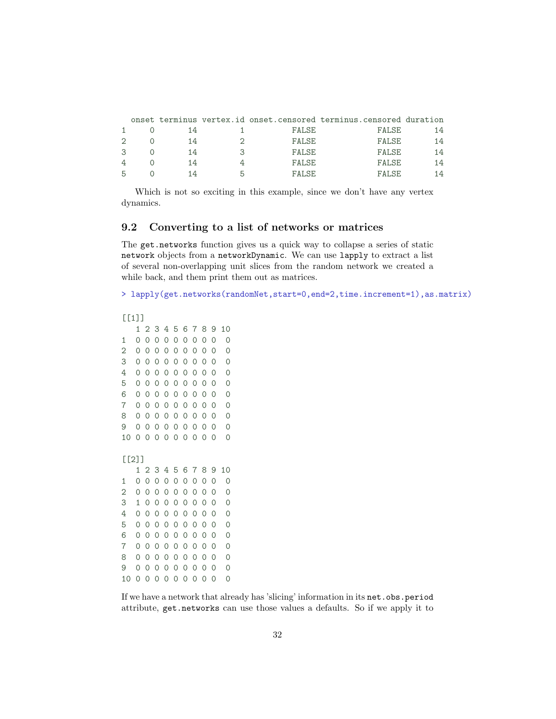|   |    |   |        | onset terminus vertex.id onset.censored terminus.censored duration |    |
|---|----|---|--------|--------------------------------------------------------------------|----|
|   | 14 |   | FALSE  | FALSE                                                              | 14 |
|   | 14 |   | FALSE  | FALSE                                                              | 14 |
|   | 14 |   | FALSE  | <b>FALSE</b>                                                       | 14 |
| 4 | 14 |   | FALSE  | <b>FALSE</b>                                                       | 14 |
|   | 14 | h | FALSE. | FALSE.                                                             | 14 |

Which is not so exciting in this example, since we don't have any vertex dynamics.

## <span id="page-31-0"></span>9.2 Converting to a list of networks or matrices

The get.networks function gives us a quick way to collapse a series of static network objects from a networkDynamic. We can use lapply to extract a list of several non-overlapping unit slices from the random network we created a while back, and them print them out as matrices.

> lapply(get.networks(randomNet,start=0,end=2,time.increment=1),as.matrix)

```
[[1]
```

```
1 2 3 4 5 6 7 8 9 10
1 0 0 0 0 0 0 0 0 0 0
2 0 0 0 0 0 0 0 0 0
3 0 0 0 0 0 0 0 0 0 0
4 0 0 0 0 0 0 0 0 0 0
5 0 0 0 0 0 0 0 0 0 0
6 0 0 0 0 0 0 0 0 0 0
7 0 0 0 0 0 0 0 0 0 0
8 0 0 0 0 0 0 0 0 0 0
9 0 0 0 0 0 0 0 0 0 0
10 0 0 0 0 0 0 0 0 0 0
[[2]]
  1 2 3 4 5 6 7 8 9 10
1 0 0 0 0 0 0 0 0 0 0
2 0 0 0 0 0 0 0 0 0
3 1 0 0 0 0 0 0 0 0 0
4 0 0 0 0 0 0 0 0 0 0
5 0 0 0 0 0 0 0 0 0 0
6 0 0 0 0 0 0 0 0 0 0
7 0 0 0 0 0 0 0 0 0 0
8 0 0 0 0 0 0 0 0 0 0
9 0 0 0 0 0 0 0 0 0 0
10 0 0 0 0 0 0 0 0 0 0
```
If we have a network that already has 'slicing' information in its net.obs.period attribute, get.networks can use those values a defaults. So if we apply it to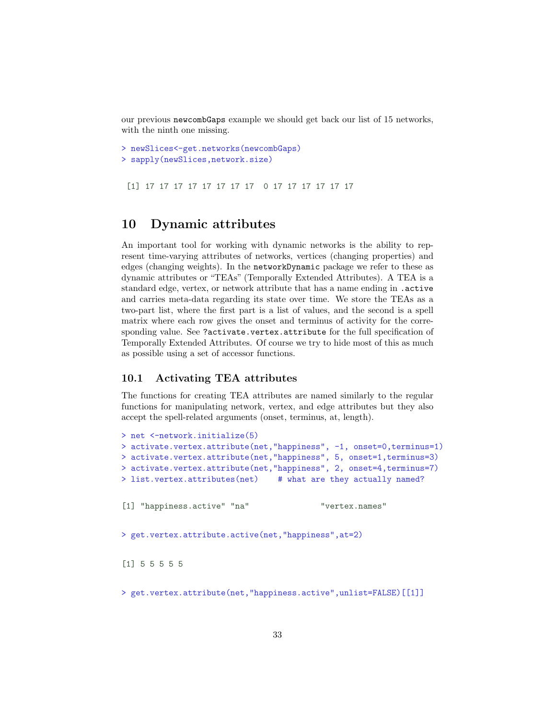our previous newcombGaps example we should get back our list of 15 networks, with the ninth one missing.

```
> newSlices<-get.networks(newcombGaps)
> sapply(newSlices,network.size)
```
[1] 17 17 17 17 17 17 17 17 0 17 17 17 17 17 17

## <span id="page-32-0"></span>10 Dynamic attributes

An important tool for working with dynamic networks is the ability to represent time-varying attributes of networks, vertices (changing properties) and edges (changing weights). In the networkDynamic package we refer to these as dynamic attributes or "TEAs" (Temporally Extended Attributes). A TEA is a standard edge, vertex, or network attribute that has a name ending in .active and carries meta-data regarding its state over time. We store the TEAs as a two-part list, where the first part is a list of values, and the second is a spell matrix where each row gives the onset and terminus of activity for the corresponding value. See ?activate.vertex.attribute for the full specification of Temporally Extended Attributes. Of course we try to hide most of this as much as possible using a set of accessor functions.

### <span id="page-32-1"></span>10.1 Activating TEA attributes

The functions for creating TEA attributes are named similarly to the regular functions for manipulating network, vertex, and edge attributes but they also accept the spell-related arguments (onset, terminus, at, length).

```
> net <-network.initialize(5)
> activate.vertex.attribute(net,"happiness", -1, onset=0,terminus=1)
> activate.vertex.attribute(net,"happiness", 5, onset=1,terminus=3)
> activate.vertex.attribute(net,"happiness", 2, onset=4,terminus=7)
> list.vertex.attributes(net) # what are they actually named?
[1] "happiness.active" "na" "vertex.names"
> get.vertex.attribute.active(net,"happiness",at=2)
[1] 5 5 5 5 5
> get.vertex.attribute(net,"happiness.active",unlist=FALSE)[[1]]
```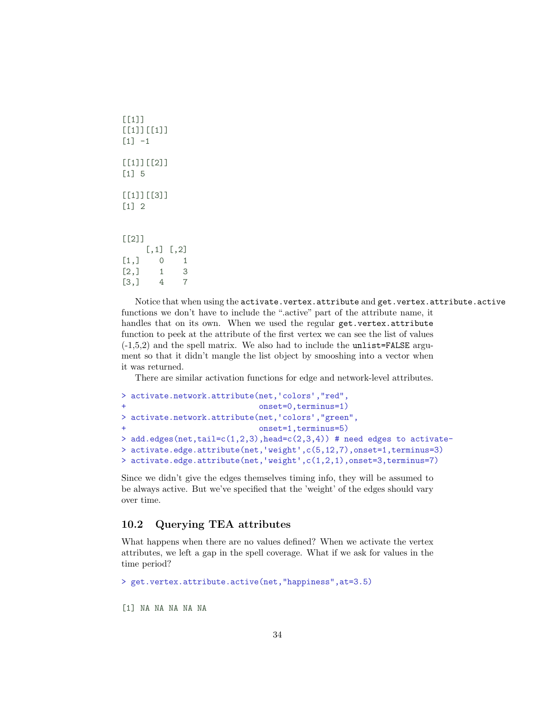```
[[1][[1]][[1]]
[1] -1[1][2]]
[1] 5
[[1]][[3]]
[1] 2
[[2]]
    [,1] [,2]
[1,] 0 1[2,] 1 3[3,] 4 7
```
Notice that when using the activate.vertex.attribute and get.vertex.attribute.active functions we don't have to include the ".active" part of the attribute name, it handles that on its own. When we used the regular get.vertex.attribute function to peek at the attribute of the first vertex we can see the list of values  $(-1,5,2)$  and the spell matrix. We also had to include the unlist=FALSE argument so that it didn't mangle the list object by smooshing into a vector when it was returned.

There are similar activation functions for edge and network-level attributes.

```
> activate.network.attribute(net,'colors',"red",
+ onset=0,terminus=1)
> activate.network.attribute(net,'colors',"green",
+ onset=1,terminus=5)
> add.edges(net,tail=c(1,2,3),head=c(2,3,4)) # need edges to activate-
> activate.edge.attribute(net,'weight',c(5,12,7),onset=1,terminus=3)
> activate.edge.attribute(net,'weight',c(1,2,1),onset=3,terminus=7)
```
Since we didn't give the edges themselves timing info, they will be assumed to be always active. But we've specified that the 'weight' of the edges should vary over time.

## <span id="page-33-0"></span>10.2 Querying TEA attributes

What happens when there are no values defined? When we activate the vertex attributes, we left a gap in the spell coverage. What if we ask for values in the time period?

```
> get.vertex.attribute.active(net,"happiness",at=3.5)
```
[1] NA NA NA NA NA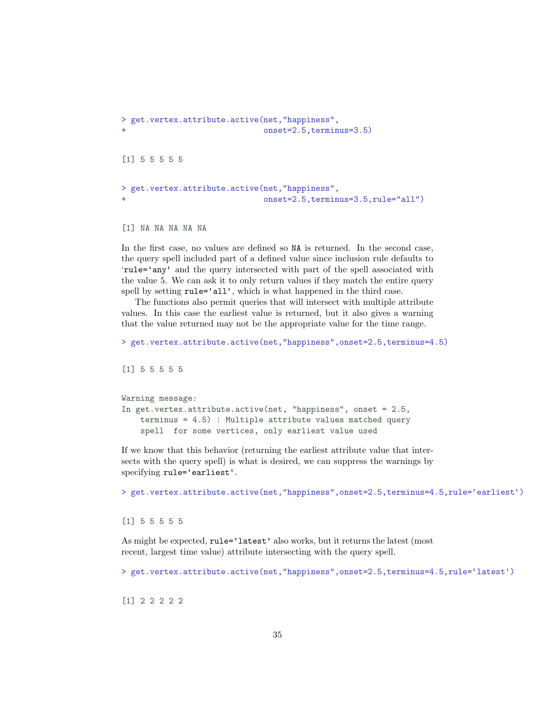```
> get.vertex.attribute.active(net,"happiness",
+ onset=2.5,terminus=3.5)
[1] 5 5 5 5 5
> get.vertex.attribute.active(net,"happiness",
                          onset=2.5,terminus=3.5,rule="all")
```

```
[1] NA NA NA NA NA
```
In the first case, no values are defined so NA is returned. In the second case, the query spell included part of a defined value since inclusion rule defaults to 'rule='any' and the query intersected with part of the spell associated with the value 5. We can ask it to only return values if they match the entire query spell by setting  $rule='all', which is what happened in the third case.$ 

The functions also permit queries that will intersect with multiple attribute values. In this case the earliest value is returned, but it also gives a warning that the value returned may not be the appropriate value for the time range.

```
> get.vertex.attribute.active(net,"happiness",onset=2.5,terminus=4.5)
```
[1] 5 5 5 5 5

```
Warning message:
In get.vertex.attribute.active(net, "happiness", onset = 2.5,
    terminus = 4.5) : Multiple attribute values matched query
    spell for some vertices, only earliest value used
```
If we know that this behavior (returning the earliest attribute value that intersects with the query spell) is what is desired, we can suppress the warnings by specifying  $rule='earliest'.$ 

> get.vertex.attribute.active(net,"happiness",onset=2.5,terminus=4.5,rule='earliest')

[1] 5 5 5 5 5

As might be expected, rule='latest' also works, but it returns the latest (most recent, largest time value) attribute intersecting with the query spell.

> get.vertex.attribute.active(net,"happiness",onset=2.5,terminus=4.5,rule='latest')

[1] 2 2 2 2 2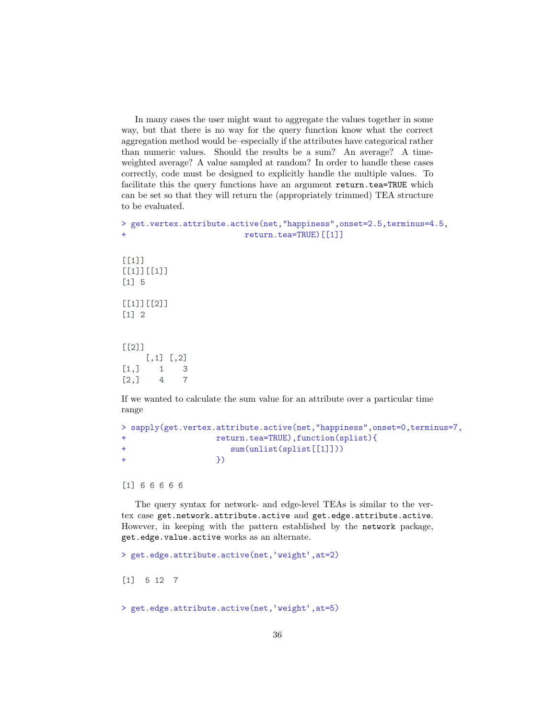In many cases the user might want to aggregate the values together in some way, but that there is no way for the query function know what the correct aggregation method would be–especially if the attributes have categorical rather than numeric values. Should the results be a sum? An average? A timeweighted average? A value sampled at random? In order to handle these cases correctly, code must be designed to explicitly handle the multiple values. To facilitate this the query functions have an argument return.tea=TRUE which can be set so that they will return the (appropriately trimmed) TEA structure to be evaluated.

```
> get.vertex.attribute.active(net,"happiness",onset=2.5,terminus=4.5,
+ return.tea=TRUE)[[1]]
[1]]
[[1]][[1]]
[1] 5
[[1]][[2]]
[1] 2
[[2]]
    [,1] [,2][1,] 1 3[2,] 4 7
```
If we wanted to calculate the sum value for an attribute over a particular time range

```
> sapply(get.vertex.attribute.active(net,"happiness",onset=0,terminus=7,
+ return.tea=TRUE),function(splist){
+ sum(unlist(splist[[1]]))
+ })
```
[1] 6 6 6 6 6

The query syntax for network- and edge-level TEAs is similar to the vertex case get.network.attribute.active and get.edge.attribute.active. However, in keeping with the pattern established by the network package, get.edge.value.active works as an alternate.

> get.edge.attribute.active(net,'weight',at=2) [1] 5 12 7

> get.edge.attribute.active(net,'weight',at=5)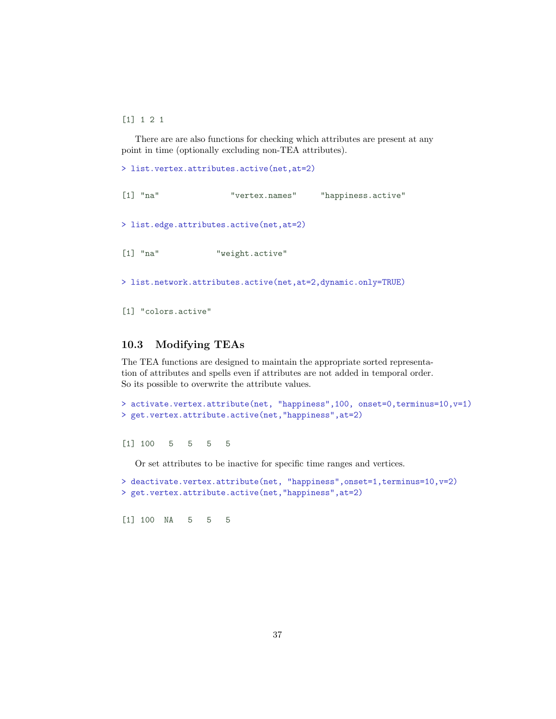[1] 1 2 1

There are are also functions for checking which attributes are present at any point in time (optionally excluding non-TEA attributes).

> list.vertex.attributes.active(net,at=2)

```
[1] "na" "vertex.names" "happiness.active"
> list.edge.attributes.active(net,at=2)
[1] "na" "weight.active"
> list.network.attributes.active(net,at=2,dynamic.only=TRUE)
```
[1] "colors.active"

## <span id="page-36-0"></span>10.3 Modifying TEAs

The TEA functions are designed to maintain the appropriate sorted representation of attributes and spells even if attributes are not added in temporal order. So its possible to overwrite the attribute values.

```
> activate.vertex.attribute(net, "happiness",100, onset=0,terminus=10,v=1)
> get.vertex.attribute.active(net,"happiness",at=2)
```
[1] 100 5 5 5 5

Or set attributes to be inactive for specific time ranges and vertices.

```
> deactivate.vertex.attribute(net, "happiness",onset=1,terminus=10,v=2)
> get.vertex.attribute.active(net,"happiness",at=2)
```
[1] 100 NA 5 5 5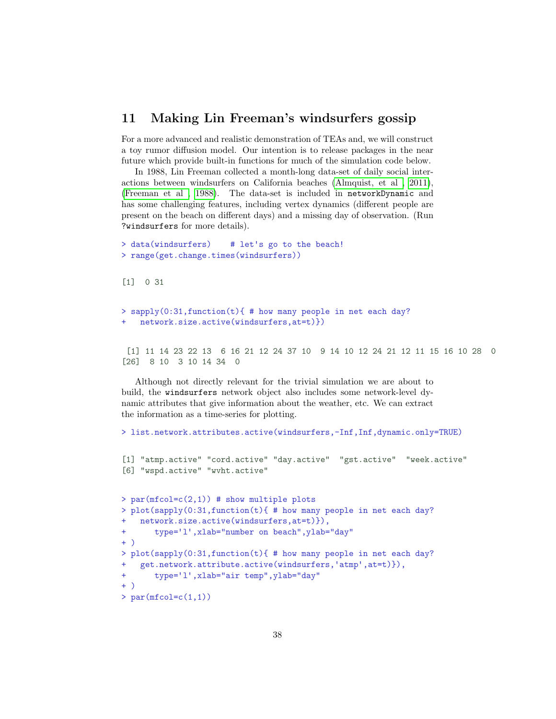## <span id="page-37-0"></span>11 Making Lin Freeman's windsurfers gossip

For a more advanced and realistic demonstration of TEAs and, we will construct a toy rumor diffusion model. Our intention is to release packages in the near future which provide built-in functions for much of the simulation code below.

In 1988, Lin Freeman collected a month-long data-set of daily social interactions between windsurfers on California beaches [\(Almquist, et al ,](#page-47-3) [2011\)](#page-47-3), [\(Freeman et al , 1988\)](#page-48-1). The data-set is included in networkDynamic and has some challenging features, including vertex dynamics (different people are present on the beach on different days) and a missing day of observation. (Run ?windsurfers for more details).

```
> data(windsurfers) # let's go to the beach!
> range(get.change.times(windsurfers))
[1] 0 31
> sapply(0:31, function(t){ # how many people in net each day?
   network.size.active(windsurfers,at=t)})
 [1] 11 14 23 22 13 6 16 21 12 24 37 10 9 14 10 12 24 21 12 11 15 16 10 28 0
[26] 8 10 3 10 14 34 0
```
Although not directly relevant for the trivial simulation we are about to build, the windsurfers network object also includes some network-level dynamic attributes that give information about the weather, etc. We can extract the information as a time-series for plotting.

```
> list.network.attributes.active(windsurfers,-Inf,Inf,dynamic.only=TRUE)
[1] "atmp.active" "cord.active" "day.active" "gst.active" "week.active"
[6] "wspd.active" "wvht.active"
> par(mfcol=c(2,1)) # show multiple plots
> plot(sapply(0:31,function(t){ # how many people in net each day?
+ network.size.active(windsurfers,at=t)}),<br>+ type='l',xlab="number on beach",ylab="day"
+ )
> plot(sapply(0:31,function(t){ # how many people in net each day?<br>+ get.network.attribute.active(windsurfers,'atmp',at=t)}),
+ get.network.attribute.active(windsurfers,'atmp',at=t)}),<br>+ type='l',xlab="air temp",ylab="day"
+ )
> par(mfcol=c(1,1))
```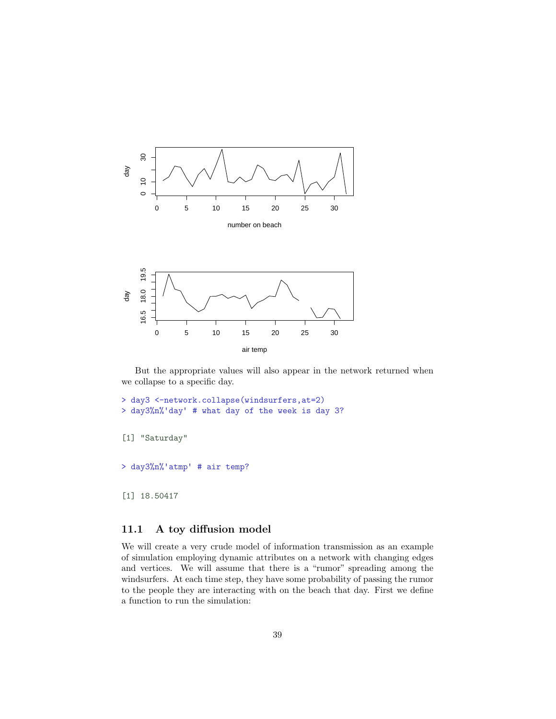



air temp

```
> day3 <-network.collapse(windsurfers,at=2)
> day3%n%'day' # what day of the week is day 3?
[1] "Saturday"
> day3%n%'atmp' # air temp?
```
[1] 18.50417

## <span id="page-38-0"></span>11.1 A toy diffusion model

We will create a very crude model of information transmission as an example of simulation employing dynamic attributes on a network with changing edges and vertices. We will assume that there is a "rumor" spreading among the windsurfers. At each time step, they have some probability of passing the rumor to the people they are interacting with on the beach that day. First we define a function to run the simulation: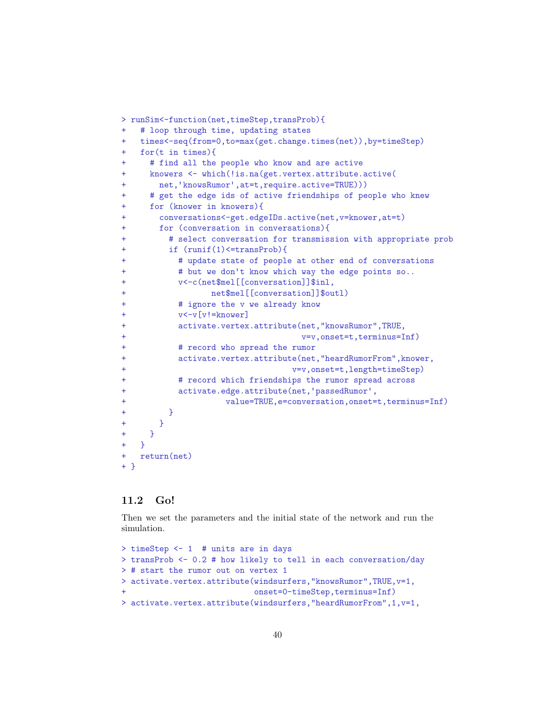```
> runSim<-function(net,timeStep,transProb){
    # loop through time, updating states
    + times<-seq(from=0,to=max(get.change.times(net)),by=timeStep)
+ for(t in times){
      + # find all the people who know and are active
+ knowers <- which(!is.na(get.vertex.attribute.active(<br>+ net,'knowsRumor',at=t,require.active=TRUE)))
      # get the edge ids of active friendships of people who knew
      for (knower in knowers){
+ conversations<-get.edgeIDs.active(net,v=knower,at=t)
        for (conversation in conversations){
           + # select conversation for transmission with appropriate prob
          if (runit(1) \leq transProb){
             # update state of people at other end of conversations
             # but we don't know which way the edge points so..
             v<-c(net$mel[[conversation]]$inl,
                    net$mel[[conversation]]$outl)
             # ignore the v we already know
             v<-v[v!=knower]
             activate.vertex.attribute(net,"knowsRumor",TRUE,
                                         v=v,onset=t,terminus=Inf)
             # record who spread the rumor
+ activate.vertex.attribute(net,"heardRumorFrom",knower,
                                       v=v,onset=t,length=timeStep)
+ # record which friendships the rumor spread across<br>+ activate.edge.attribute(net,'passedRumor',
                        value=TRUE,e=conversation,onset=t,terminus=Inf)
          \rightarrow\rightarrow+ }
+ }
+ return(net)
+ }
```
## <span id="page-39-0"></span>11.2 Go!

Then we set the parameters and the initial state of the network and run the simulation.

```
> timeStep <- 1 # units are in days
> transProb <- 0.2 # how likely to tell in each conversation/day
> # start the rumor out on vertex 1
> activate.vertex.attribute(windsurfers,"knowsRumor",TRUE,v=1,
                            onset=0-timeStep,terminus=Inf)
> activate.vertex.attribute(windsurfers,"heardRumorFrom",1,v=1,
```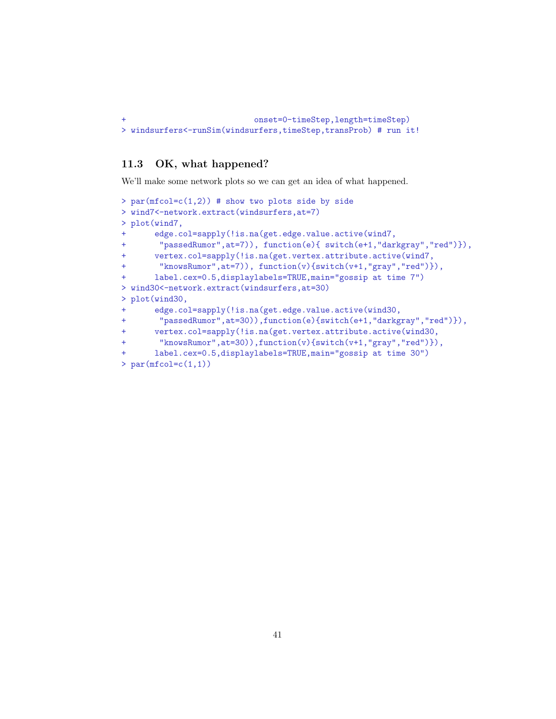```
onset=0-timeStep,length=timeStep)
> windsurfers<-runSim(windsurfers,timeStep,transProb) # run it!
```
## <span id="page-40-0"></span>11.3 OK, what happened?

We'll make some network plots so we can get an idea of what happened.

```
> par(mfcol=c(1,2)) # show two plots side by side
> wind7<-network.extract(windsurfers,at=7)
> plot(wind7,
      + edge.col=sapply(!is.na(get.edge.value.active(wind7,
        "passedRumor",at=7)), function(e){ switch(e+1,"darkgray","red")}),
+ vertex.col=sapply(!is.na(get.vertex.attribute.active(wind7,
       "knowsRumor",at=7)), function(v){switch(v+1,"gray","red")}),
      + label.cex=0.5,displaylabels=TRUE,main="gossip at time 7")
> wind30<-network.extract(windsurfers,at=30)
> plot(wind30,
      edge.col=sapply(!is.na(get.edge.value.active(wind30,
+ "passedRumor",at=30)),function(e){switch(e+1,"darkgray","red")}),
+ vertex.col=sapply(!is.na(get.vertex.attribute.active(wind30,
+ "knowsRumor",at=30)),function(v){switch(v+1,"gray","red")}),
+ label.cex=0.5,displaylabels=TRUE,main="gossip at time 30")
> par(mfcol=c(1,1))
```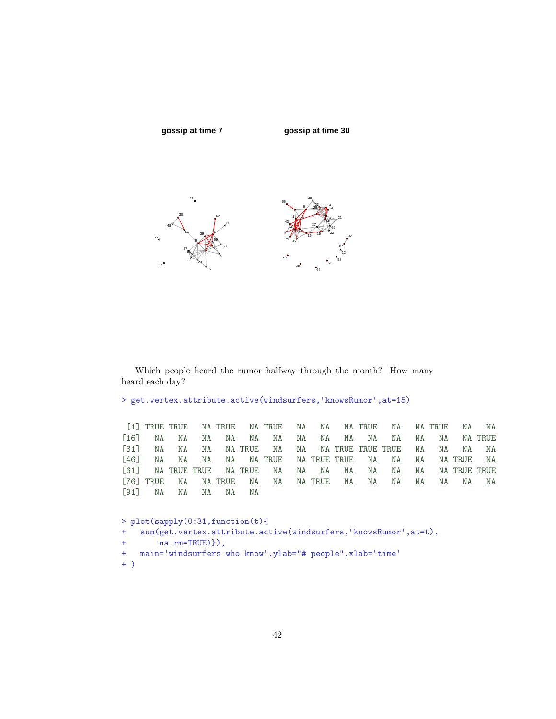

Which people heard the rumor halfway through the month? How many heard each day?

```
> get.vertex.attribute.active(windsurfers,'knowsRumor',at=15)
```

|  |                     |  |  |  | [1] TRUE TRUE NA TRUE NA TRUE NA NA NA TRUE NA NA TRUE NA NA |  |  |
|--|---------------------|--|--|--|--------------------------------------------------------------|--|--|
|  |                     |  |  |  |                                                              |  |  |
|  |                     |  |  |  | [31] NA NA NA NATRUE NA NA NATRUE TRUE TRUE NA NA NA NA      |  |  |
|  |                     |  |  |  | [46] NA NA NA NA NATRUE NATRUE TRUE NA NA NA NATRUE NA       |  |  |
|  |                     |  |  |  | [61] NA TRUE TRUE NA TRUE NA NA NA NA NA NA NA NA TRUE TRUE  |  |  |
|  |                     |  |  |  | [76] TRUE NA NATRUE NA NA NATRUE NA NA NA NA NA NA NA        |  |  |
|  | [91] NA NA NA NA NA |  |  |  |                                                              |  |  |

```
> plot(sapply(0:31,function(t){
+ sum(get.vertex.attribute.active(windsurfers,'knowsRumor',at=t),
+ na.\text{rm=TRUE})}),
+ main='windsurfers who know',ylab="# people",xlab='time'
+ )
```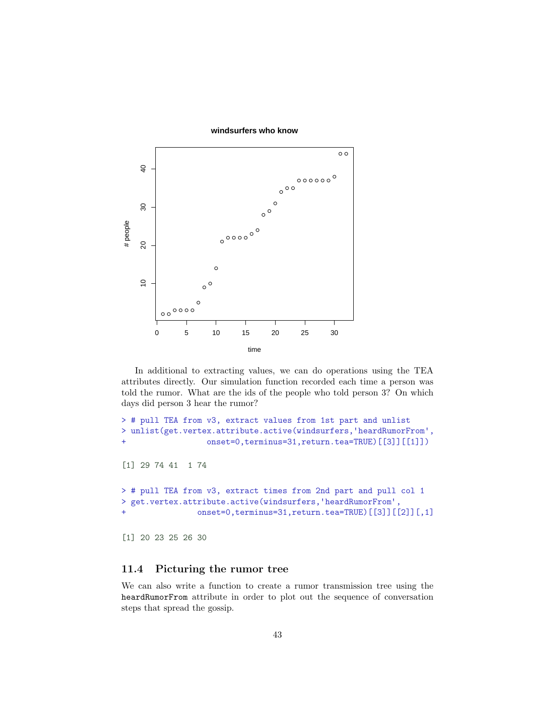

In additional to extracting values, we can do operations using the TEA attributes directly. Our simulation function recorded each time a person was told the rumor. What are the ids of the people who told person 3? On which days did person 3 hear the rumor?

```
> # pull TEA from v3, extract values from 1st part and unlist<br>> unlist(get.vertex.attribute.active(windsurfers,'heardRumorFrom',
+ onset=0,terminus=31,return.tea=TRUE)[[3]][[1]])
[1] 29 74 41 1 74
> # pull TEA from v3, extract times from 2nd part and pull col 1<br>> get.vertex.attribute.active(windsurfers,'heardRumorFrom',
+ onset=0,terminus=31,return.tea=TRUE)[[3]][[2]][,1]
[1] 20 23 25 26 30
```
## <span id="page-42-0"></span>11.4 Picturing the rumor tree

We can also write a function to create a rumor transmission tree using the heardRumorFrom attribute in order to plot out the sequence of conversation steps that spread the gossip.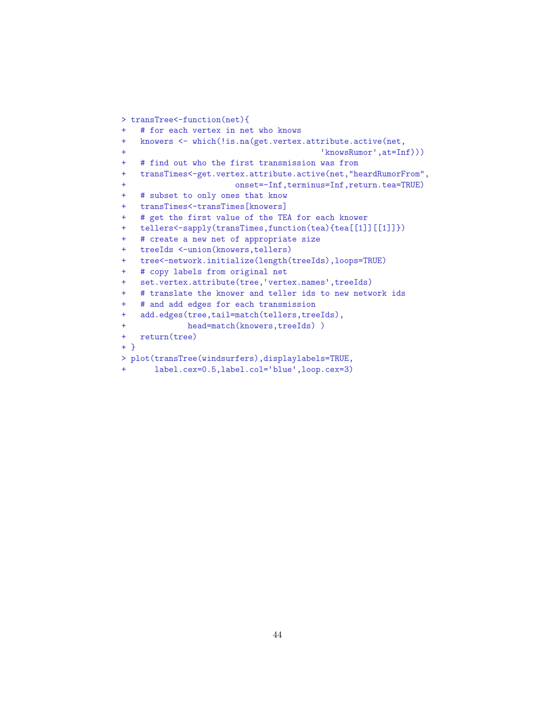```
> transTree<-function(net){
+ # for each vertex in net who knows
+ knowers <- which(!is.na(get.vertex.attribute.active(net,<br>+ knowsRumor',at=Inf)))
+ # find out who the first transmission was from
+ transTimes<-get.vertex.attribute.active(net,"heardRumorFrom",
+ onset=-Inf,terminus=Inf,return.tea=TRUE)
+ # subset to only ones that know
+ transTimes<-transTimes[knowers]
+ # get the first value of the TEA for each knower
+ tellers<-sapply(transTimes,function(tea){tea[[1]][[1]]})
+ # create a new net of appropriate size
+ treeIds <-union(knowers,tellers)
+ tree<-network.initialize(length(treeIds),loops=TRUE)
+ # copy labels from original net
+ set.vertex.attribute(tree,'vertex.names',treeIds)
+ # translate the knower and teller ids to new network ids
+ # and add edges for each transmission
+ add.edges(tree,tail=match(tellers,treeIds),
+ head=match(knowers,treeIds) )
+ return(tree)
+ }
> plot(transTree(windsurfers),displaylabels=TRUE,
+ label.cex=0.5,label.col=✬blue✬,loop.cex=3)
```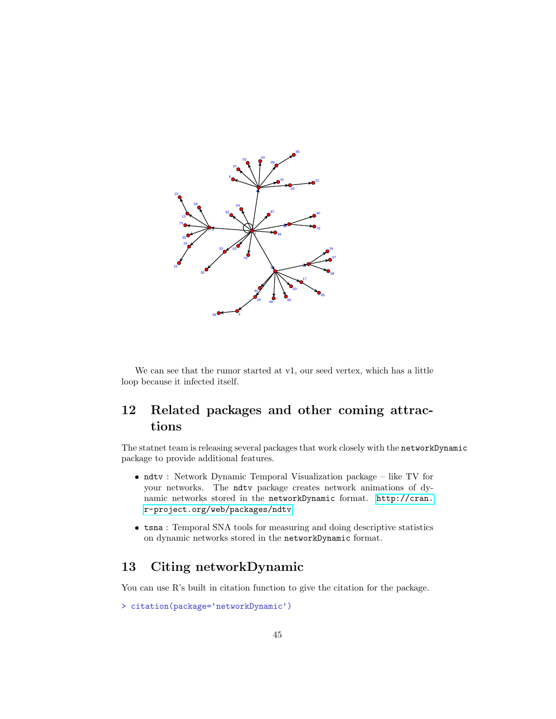

We can see that the rumor started at v1, our seed vertex, which has a little loop because it infected itself.

## <span id="page-44-0"></span>12 Related packages and other coming attractions

The statnet team is releasing several packages that work closely with the networkDynamic package to provide additional features.

- ndtv : Network Dynamic Temporal Visualization package like TV for your networks. The ndtv package creates network animations of dynamic networks stored in the networkDynamic format. [http://cran.](http://cran.r-project.org/web/packages/ndtv) [r-project.org/web/packages/ndtv](http://cran.r-project.org/web/packages/ndtv)
- tsna : Temporal SNA tools for measuring and doing descriptive statistics on dynamic networks stored in the networkDynamic format.

## <span id="page-44-1"></span>13 Citing networkDynamic

You can use R's built in citation function to give the citation for the package.

```
> citation(package='networkDynamic')
```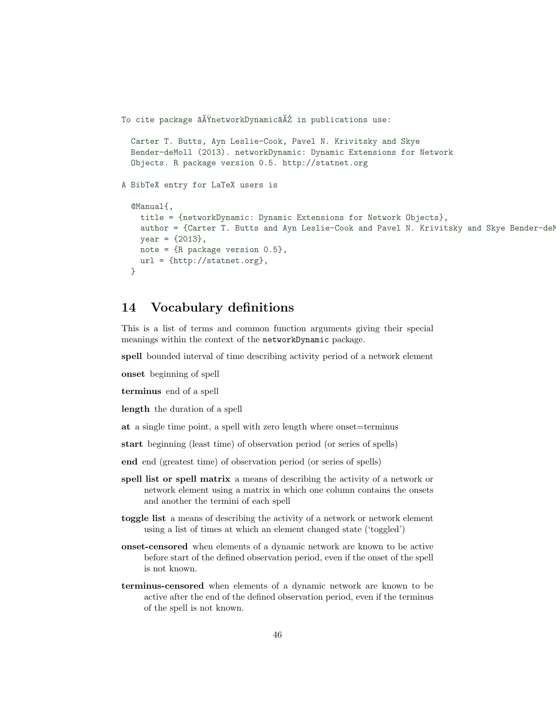```
To cite package \tilde{a}AŸnetworkDynamic\tilde{a}A<sup>\tilde{z}</sup> in publications use:
```

```
Carter T. Butts, Ayn Leslie-Cook, Pavel N. Krivitsky and Skye
  Bender-deMoll (2013). networkDynamic: Dynamic Extensions for Network
  Objects. R package version 0.5. http://statnet.org
A BibTeX entry for LaTeX users is
  @Manual{,
    title = {networkDynamic: Dynamic Extensions for Network Objects},
    author = {Carter T. Butts and Ayn Leslie-Cook and Pavel N. Krivitsky and Skye Bender-deM
   year = {2013},
   note = {R} package version 0.5},
   url = \{http://statnet.org\},}
```
## <span id="page-45-0"></span>14 Vocabulary definitions

This is a list of terms and common function arguments giving their special meanings within the context of the networkDynamic package.

spell bounded interval of time describing activity period of a network element

onset beginning of spell

terminus end of a spell

length the duration of a spell

at a single time point, a spell with zero length where onset=terminus

start beginning (least time) of observation period (or series of spells)

end end (greatest time) of observation period (or series of spells)

- spell list or spell matrix a means of describing the activity of a network or network element using a matrix in which one column contains the onsets and another the termini of each spell
- toggle list a means of describing the activity of a network or network element using a list of times at which an element changed state ('toggled')
- onset-censored when elements of a dynamic network are known to be active before start of the defined observation period, even if the onset of the spell is not known.
- terminus-censored when elements of a dynamic network are known to be active after the end of the defined observation period, even if the terminus of the spell is not known.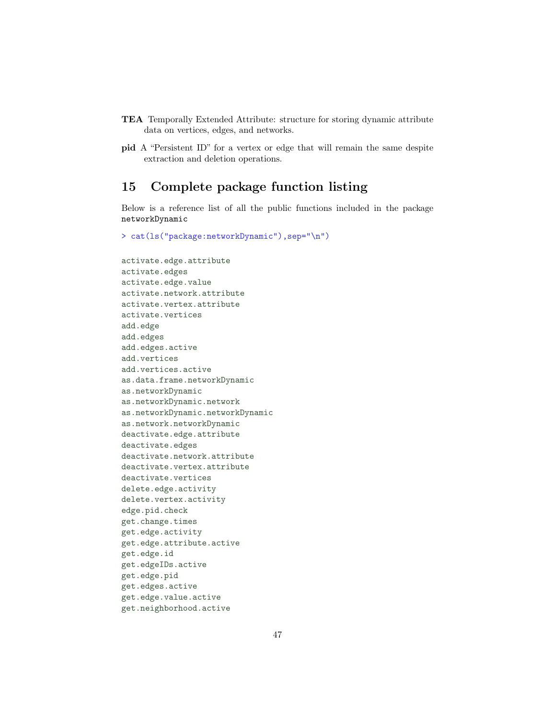- TEA Temporally Extended Attribute: structure for storing dynamic attribute data on vertices, edges, and networks.
- pid A "Persistent ID" for a vertex or edge that will remain the same despite extraction and deletion operations.

## <span id="page-46-0"></span>15 Complete package function listing

Below is a reference list of all the public functions included in the package networkDynamic

> cat(ls("package:networkDynamic"),sep="\n")

activate.edge.attribute activate.edges activate.edge.value activate.network.attribute activate.vertex.attribute activate.vertices add.edge add.edges add.edges.active add.vertices add.vertices.active as.data.frame.networkDynamic as.networkDynamic as.networkDynamic.network as.networkDynamic.networkDynamic as.network.networkDynamic deactivate.edge.attribute deactivate.edges deactivate.network.attribute deactivate.vertex.attribute deactivate.vertices delete.edge.activity delete.vertex.activity edge.pid.check get.change.times get.edge.activity get.edge.attribute.active get.edge.id get.edgeIDs.active get.edge.pid get.edges.active get.edge.value.active get.neighborhood.active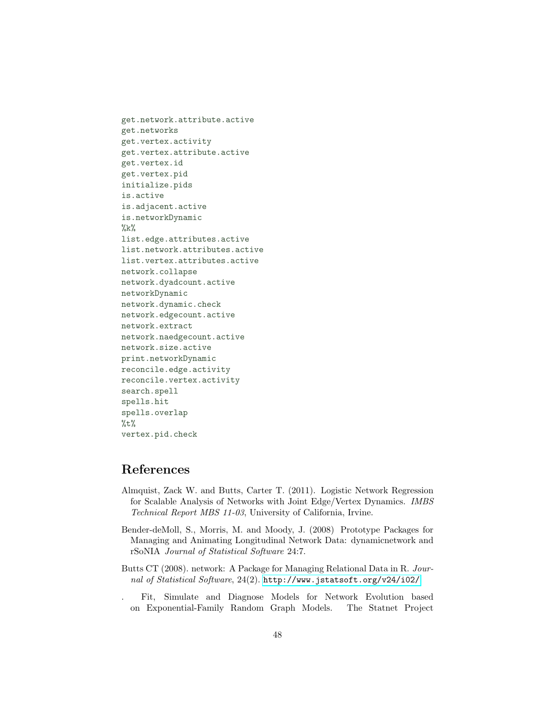get.network.attribute.active get.networks get.vertex.activity get.vertex.attribute.active get.vertex.id get.vertex.pid initialize.pids is.active is.adjacent.active is.networkDynamic  $\%k\%$ list.edge.attributes.active list.network.attributes.active list.vertex.attributes.active network.collapse network.dyadcount.active networkDynamic network.dynamic.check network.edgecount.active network.extract network.naedgecount.active network.size.active print.networkDynamic reconcile.edge.activity reconcile.vertex.activity search.spell spells.hit spells.overlap  $%t\%$ vertex.pid.check

## References

- <span id="page-47-3"></span>Almquist, Zack W. and Butts, Carter T. (2011). Logistic Network Regression for Scalable Analysis of Networks with Joint Edge/Vertex Dynamics. IMBS Technical Report MBS 11-03, University of California, Irvine.
- <span id="page-47-2"></span>Bender-deMoll, S., Morris, M. and Moody, J. (2008) Prototype Packages for Managing and Animating Longitudinal Network Data: dynamicnetwork and rSoNIA Journal of Statistical Software 24:7.
- <span id="page-47-0"></span>Butts CT (2008). network: A Package for Managing Relational Data in R. Journal of Statistical Software, 24(2). <http://www.jstatsoft.org/v24/i02/>.
- <span id="page-47-1"></span>. Fit, Simulate and Diagnose Models for Network Evolution based on Exponential-Family Random Graph Models. The Statnet Project